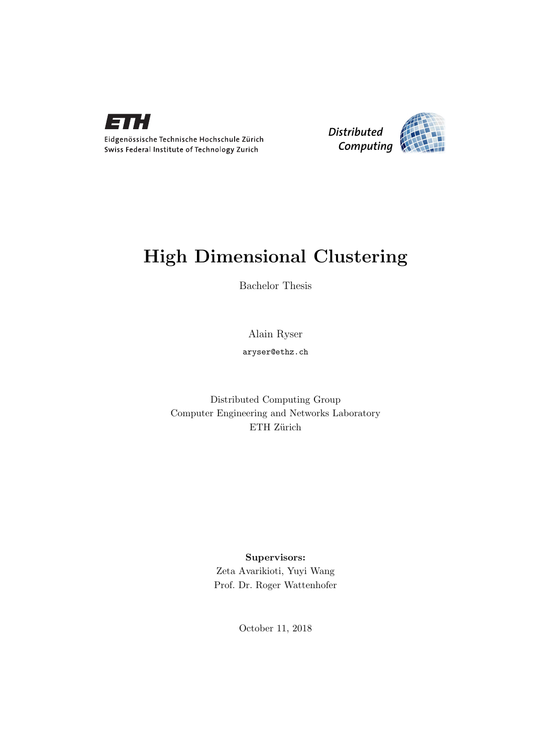



## High Dimensional Clustering

Bachelor Thesis

Alain Ryser

aryser@ethz.ch

Distributed Computing Group Computer Engineering and Networks Laboratory ETH Zürich

### Supervisors:

Zeta Avarikioti, Yuyi Wang Prof. Dr. Roger Wattenhofer

October 11, 2018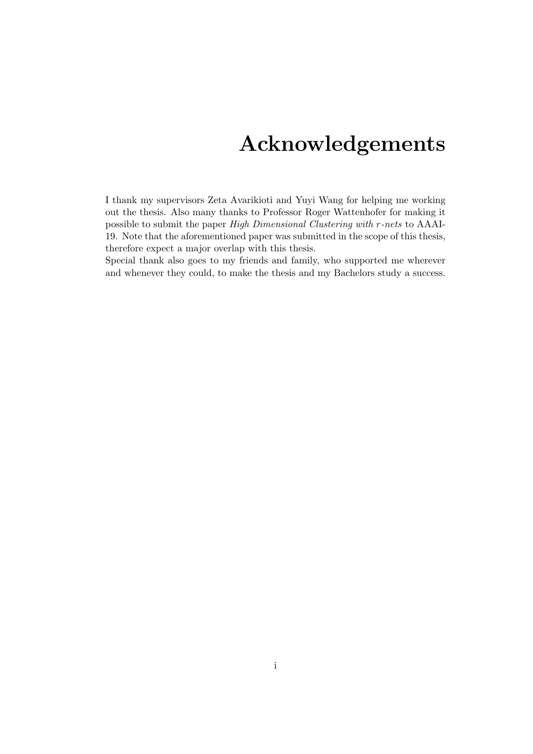## Acknowledgements

<span id="page-1-0"></span>I thank my supervisors Zeta Avarikioti and Yuyi Wang for helping me working out the thesis. Also many thanks to Professor Roger Wattenhofer for making it possible to submit the paper High Dimensional Clustering with r-nets to AAAI-19. Note that the aforementioned paper was submitted in the scope of this thesis, therefore expect a major overlap with this thesis.

Special thank also goes to my friends and family, who supported me wherever and whenever they could, to make the thesis and my Bachelors study a success.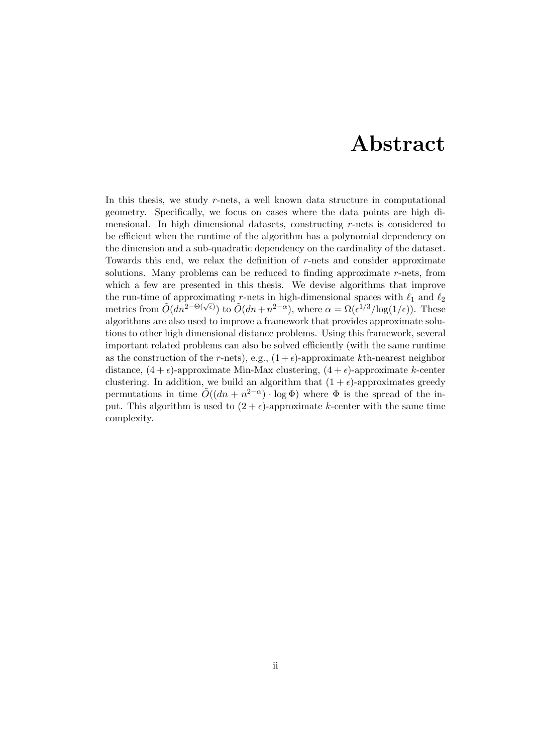## Abstract

<span id="page-2-0"></span>In this thesis, we study r-nets, a well known data structure in computational geometry. Specifically, we focus on cases where the data points are high dimensional. In high dimensional datasets, constructing r-nets is considered to be efficient when the runtime of the algorithm has a polynomial dependency on the dimension and a sub-quadratic dependency on the cardinality of the dataset. Towards this end, we relax the definition of r-nets and consider approximate solutions. Many problems can be reduced to finding approximate  $r$ -nets, from which a few are presented in this thesis. We devise algorithms that improve the run-time of approximating r-nets in high-dimensional spaces with  $\ell_1$  and  $\ell_2$ the Fun-time of approximating 7-necs in ingn-dimensional spaces with  $\epsilon_1$  and  $\epsilon_2$ <br>metrics from  $\tilde{O}(dn^{2-\Theta(\sqrt{\epsilon})})$  to  $\tilde{O}(dn+n^{2-\alpha})$ , where  $\alpha = \Omega(\epsilon^{1/3}/\log(1/\epsilon))$ . These algorithms are also used to improve a framework that provides approximate solutions to other high dimensional distance problems. Using this framework, several important related problems can also be solved efficiently (with the same runtime as the construction of the r-nets), e.g.,  $(1 + \epsilon)$ -approximate kth-nearest neighbor distance,  $(4 + \epsilon)$ -approximate Min-Max clustering,  $(4 + \epsilon)$ -approximate k-center clustering. In addition, we build an algorithm that  $(1 + \epsilon)$ -approximates greedy permutations in time  $\tilde{O}((dn + n^{2-\alpha}) \cdot \log \Phi)$  where  $\Phi$  is the spread of the input. This algorithm is used to  $(2 + \epsilon)$ -approximate k-center with the same time complexity.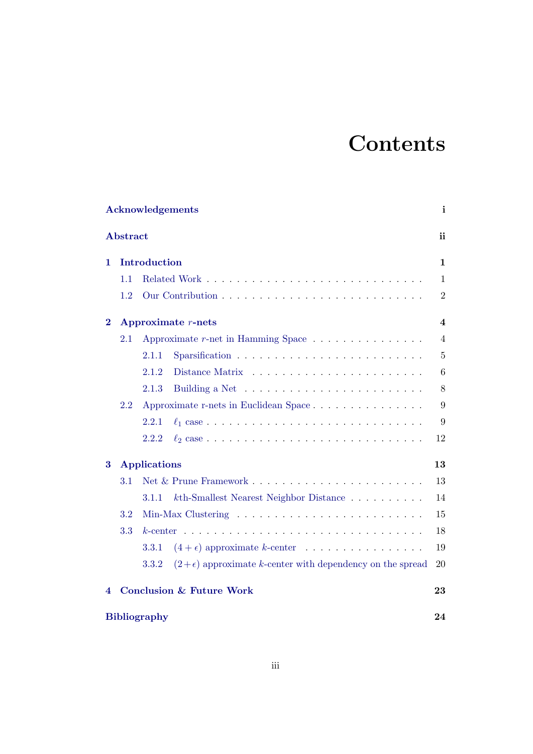# **Contents**

| Acknowledgements<br>i    |                                     |              |                                                                            |                         |  |
|--------------------------|-------------------------------------|--------------|----------------------------------------------------------------------------|-------------------------|--|
| <b>Abstract</b>          |                                     |              |                                                                            | ii                      |  |
| 1                        |                                     | Introduction |                                                                            | 1                       |  |
|                          | 1.1                                 |              |                                                                            | $\mathbf{1}$            |  |
|                          | 1.2                                 |              |                                                                            | $\overline{2}$          |  |
| $\bf{2}$                 | Approximate $r$ -nets               |              |                                                                            | $\overline{\mathbf{4}}$ |  |
|                          | 2.1                                 |              | Approximate $r$ -net in Hamming Space $\ldots \ldots \ldots \ldots \ldots$ | $\overline{4}$          |  |
|                          |                                     | 2.1.1        |                                                                            | $\overline{5}$          |  |
|                          |                                     | 2.1.2        |                                                                            | 6                       |  |
|                          |                                     | 2.1.3        | Building a Net $\dots \dots \dots \dots \dots \dots \dots \dots$           | 8                       |  |
|                          | 2.2                                 |              | Approximate r-nets in Euclidean Space                                      | 9                       |  |
|                          |                                     | 2.2.1        |                                                                            | 9                       |  |
|                          |                                     | 2.2.2        |                                                                            | 12                      |  |
| 3<br><b>Applications</b> |                                     |              | 13                                                                         |                         |  |
|                          | 3.1                                 |              |                                                                            | 13                      |  |
|                          |                                     | 3.1.1        | $k$ th-Smallest Nearest Neighbor Distance                                  | 14                      |  |
| 3.2<br>3.3               |                                     |              | 15                                                                         |                         |  |
|                          |                                     |              | 18                                                                         |                         |  |
|                          |                                     | 3.3.1        | $(4 + \epsilon)$ approximate k-center                                      | 19                      |  |
|                          |                                     | 3.3.2        | $(2+\epsilon)$ approximate k-center with dependency on the spread          | 20                      |  |
| 4                        | <b>Conclusion &amp; Future Work</b> |              |                                                                            |                         |  |
|                          | <b>Bibliography</b><br>24           |              |                                                                            |                         |  |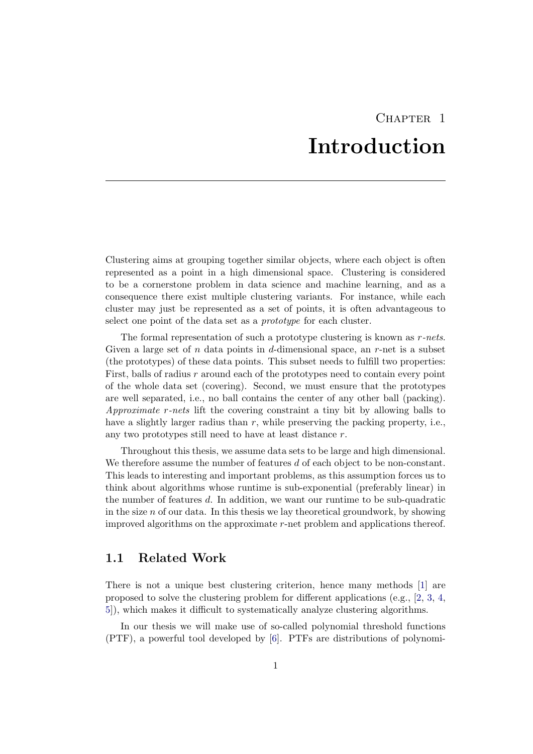## CHAPTER<sub>1</sub> Introduction

<span id="page-4-0"></span>Clustering aims at grouping together similar objects, where each object is often represented as a point in a high dimensional space. Clustering is considered to be a cornerstone problem in data science and machine learning, and as a consequence there exist multiple clustering variants. For instance, while each cluster may just be represented as a set of points, it is often advantageous to select one point of the data set as a prototype for each cluster.

The formal representation of such a prototype clustering is known as  $r$ -nets. Given a large set of n data points in d-dimensional space, an  $r$ -net is a subset (the prototypes) of these data points. This subset needs to fulfill two properties: First, balls of radius r around each of the prototypes need to contain every point of the whole data set (covering). Second, we must ensure that the prototypes are well separated, i.e., no ball contains the center of any other ball (packing). Approximate r-nets lift the covering constraint a tiny bit by allowing balls to have a slightly larger radius than  $r$ , while preserving the packing property, i.e., any two prototypes still need to have at least distance r.

Throughout this thesis, we assume data sets to be large and high dimensional. We therefore assume the number of features d of each object to be non-constant. This leads to interesting and important problems, as this assumption forces us to think about algorithms whose runtime is sub-exponential (preferably linear) in the number of features d. In addition, we want our runtime to be sub-quadratic in the size  $n$  of our data. In this thesis we lay theoretical groundwork, by showing improved algorithms on the approximate  $r$ -net problem and applications thereof.

### <span id="page-4-1"></span>1.1 Related Work

There is not a unique best clustering criterion, hence many methods [\[1\]](#page-27-1) are proposed to solve the clustering problem for different applications (e.g.,  $[2, 3, 4, 4]$  $[2, 3, 4, 4]$  $[2, 3, 4, 4]$  $[2, 3, 4, 4]$  $[2, 3, 4, 4]$  $[2, 3, 4, 4]$ ) [5\]](#page-27-5)), which makes it difficult to systematically analyze clustering algorithms.

In our thesis we will make use of so-called polynomial threshold functions (PTF), a powerful tool developed by [\[6\]](#page-27-6). PTFs are distributions of polynomi-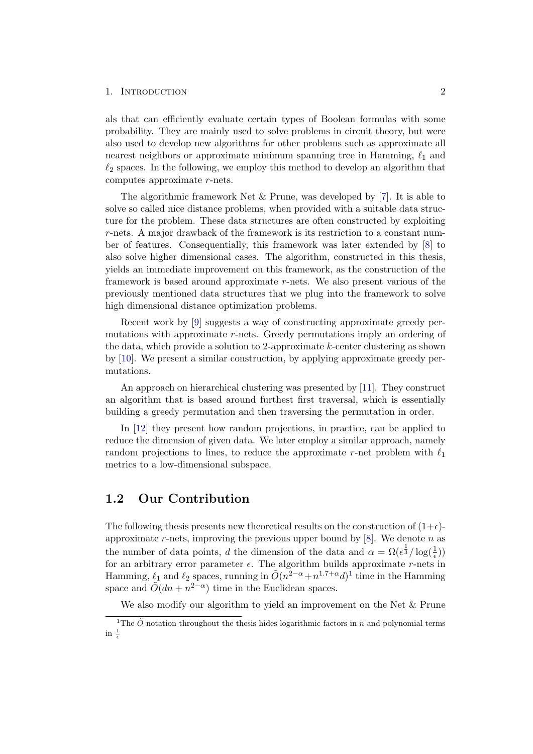#### 1. INTRODUCTION 2

als that can efficiently evaluate certain types of Boolean formulas with some probability. They are mainly used to solve problems in circuit theory, but were also used to develop new algorithms for other problems such as approximate all nearest neighbors or approximate minimum spanning tree in Hamming,  $\ell_1$  and  $\ell_2$  spaces. In the following, we employ this method to develop an algorithm that computes approximate r-nets.

The algorithmic framework Net & Prune, was developed by [\[7\]](#page-27-7). It is able to solve so called nice distance problems, when provided with a suitable data structure for the problem. These data structures are often constructed by exploiting r-nets. A major drawback of the framework is its restriction to a constant number of features. Consequentially, this framework was later extended by [\[8\]](#page-27-8) to also solve higher dimensional cases. The algorithm, constructed in this thesis, yields an immediate improvement on this framework, as the construction of the framework is based around approximate  $r$ -nets. We also present various of the previously mentioned data structures that we plug into the framework to solve high dimensional distance optimization problems.

Recent work by [\[9\]](#page-27-9) suggests a way of constructing approximate greedy permutations with approximate r-nets. Greedy permutations imply an ordering of the data, which provide a solution to 2-approximate  $k$ -center clustering as shown by [\[10\]](#page-27-10). We present a similar construction, by applying approximate greedy permutations.

An approach on hierarchical clustering was presented by [\[11\]](#page-27-11). They construct an algorithm that is based around furthest first traversal, which is essentially building a greedy permutation and then traversing the permutation in order.

In [\[12\]](#page-27-12) they present how random projections, in practice, can be applied to reduce the dimension of given data. We later employ a similar approach, namely random projections to lines, to reduce the approximate r-net problem with  $\ell_1$ metrics to a low-dimensional subspace.

## <span id="page-5-0"></span>1.2 Our Contribution

The following thesis presents new theoretical results on the construction of  $(1+\epsilon)$ approximate r-nets, improving the previous upper bound by  $[8]$ . We denote n as the number of data points, d the dimension of the data and  $\alpha = \Omega(\epsilon^{\frac{1}{3}}/\log(\frac{1}{\epsilon}))$ for an arbitrary error parameter  $\epsilon$ . The algorithm builds approximate r-nets in Hamming,  $\ell_1$  $\ell_1$  and  $\ell_2$  spaces, running in  $\tilde{O}(n^{2-\alpha}+n^{1.7+\alpha}d)^1$  time in the Hamming space and  $\tilde{O}(dn + n^{2-\alpha})$  time in the Euclidean spaces.

<span id="page-5-1"></span>We also modify our algorithm to yield an improvement on the Net & Prune

<sup>&</sup>lt;sup>1</sup>The  $\tilde{O}$  notation throughout the thesis hides logarithmic factors in n and polynomial terms in  $\frac{1}{\epsilon}$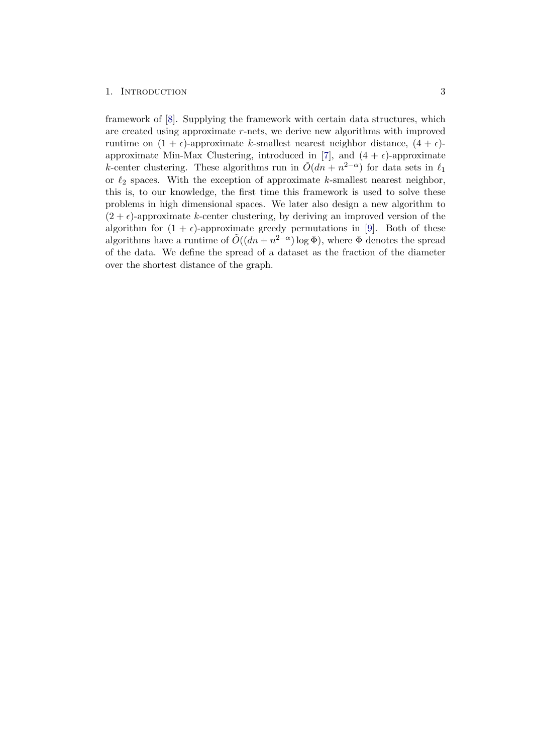#### 1. INTRODUCTION 3

framework of [\[8\]](#page-27-8). Supplying the framework with certain data structures, which are created using approximate r-nets, we derive new algorithms with improved runtime on  $(1 + \epsilon)$ -approximate k-smallest nearest neighbor distance,  $(4 + \epsilon)$ -approximate Min-Max Clustering, introduced in [\[7\]](#page-27-7), and  $(4 + \epsilon)$ -approximate k-center clustering. These algorithms run in  $\tilde{O}(dn + n^{2-\alpha})$  for data sets in  $\ell_1$ or  $\ell_2$  spaces. With the exception of approximate k-smallest nearest neighbor, this is, to our knowledge, the first time this framework is used to solve these problems in high dimensional spaces. We later also design a new algorithm to  $(2 + \epsilon)$ -approximate k-center clustering, by deriving an improved version of the algorithm for  $(1 + \epsilon)$ -approximate greedy permutations in [\[9\]](#page-27-9). Both of these algorithms have a runtime of  $\tilde{O}((dn + n^{2-\alpha}) \log \Phi)$ , where  $\Phi$  denotes the spread of the data. We define the spread of a dataset as the fraction of the diameter over the shortest distance of the graph.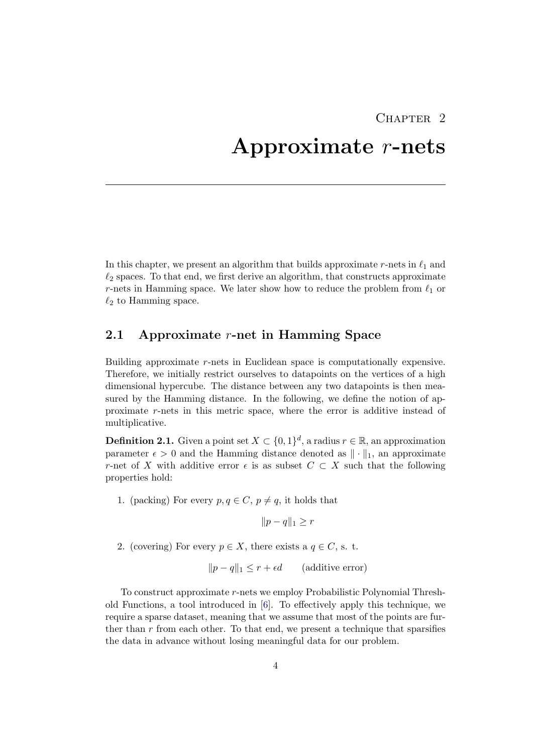## CHAPTER<sub>2</sub>

## <span id="page-7-0"></span>Approximate r-nets

In this chapter, we present an algorithm that builds approximate r-nets in  $\ell_1$  and  $\ell_2$  spaces. To that end, we first derive an algorithm, that constructs approximate r-nets in Hamming space. We later show how to reduce the problem from  $\ell_1$  or  $\ell_2$  to Hamming space.

### <span id="page-7-1"></span>2.1 Approximate r-net in Hamming Space

Building approximate r-nets in Euclidean space is computationally expensive. Therefore, we initially restrict ourselves to datapoints on the vertices of a high dimensional hypercube. The distance between any two datapoints is then measured by the Hamming distance. In the following, we define the notion of approximate r-nets in this metric space, where the error is additive instead of multiplicative.

**Definition 2.1.** Given a point set  $X \subset \{0,1\}^d$ , a radius  $r \in \mathbb{R}$ , an approximation parameter  $\epsilon > 0$  and the Hamming distance denoted as  $\|\cdot\|_1$ , an approximate r-net of X with additive error  $\epsilon$  is as subset  $C \subset X$  such that the following properties hold:

1. (packing) For every  $p, q \in C$ ,  $p \neq q$ , it holds that

 $||p - q||_1 ≥ r$ 

2. (covering) For every  $p \in X$ , there exists a  $q \in C$ , s. t.

$$
||p - q||_1 \le r + \epsilon d \qquad \text{(additive error)}
$$

To construct approximate r-nets we employ Probabilistic Polynomial Threshold Functions, a tool introduced in [\[6\]](#page-27-6). To effectively apply this technique, we require a sparse dataset, meaning that we assume that most of the points are further than  $r$  from each other. To that end, we present a technique that sparsifies the data in advance without losing meaningful data for our problem.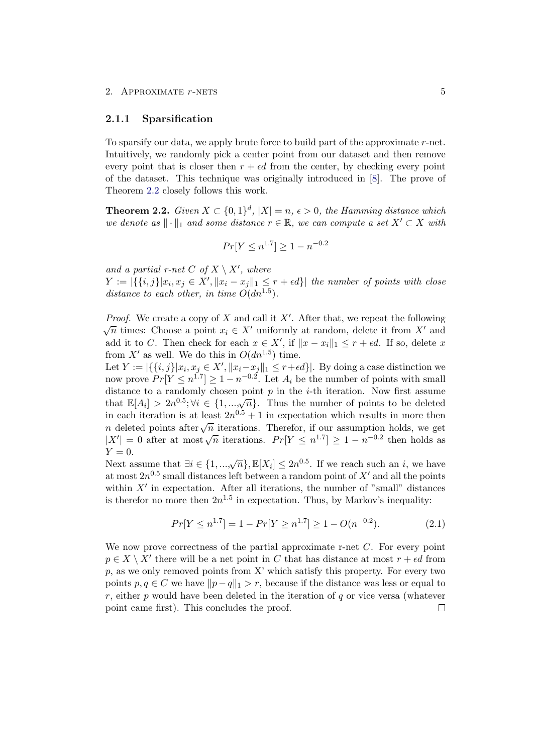#### <span id="page-8-0"></span>2.1.1 Sparsification

To sparsify our data, we apply brute force to build part of the approximate  $r$ -net. Intuitively, we randomly pick a center point from our dataset and then remove every point that is closer then  $r + \epsilon d$  from the center, by checking every point of the dataset. This technique was originally introduced in [\[8\]](#page-27-8). The prove of Theorem [2.2](#page-8-1) closely follows this work.

<span id="page-8-1"></span>**Theorem 2.2.** Given  $X \subset \{0,1\}^d$ ,  $|X|=n$ ,  $\epsilon > 0$ , the Hamming distance which we denote as  $\|\cdot\|_1$  and some distance  $r \in \mathbb{R}$ , we can compute a set  $X' \subset X$  with

$$
Pr[Y \le n^{1.7}] \ge 1 - n^{-0.2}
$$

and a partial r-net C of  $X \setminus X'$ , where

 $Y := |\{\{i, j\}| x_i, x_j \in X', ||x_i - x_j||_1 \leq r + \epsilon d\}|$  the number of points with close distance to each other, in time  $O(dn^{1.5})$ .

*Proof.* We create a copy of X and call it  $X'$ . After that, we repeat the following  $\sqrt{n}$  times: Choose a point  $x_i \in X'$  uniformly at random, delete it from X' and add it to C. Then check for each  $x \in X'$ , if  $||x - x_i||_1 \le r + \epsilon d$ . If so, delete x from X' as well. We do this in  $O(dn^{1.5})$  time.

Let  $Y := |\{\{i, j\}| x_i, x_j \in X', ||x_i - x_j||_1 \leq r + \epsilon d\}|$ . By doing a case distinction we now prove  $Pr[Y \le n^{1.7}] \ge 1 - n^{-0.2}$ . Let  $A_i$  be the number of points with small distance to a randomly chosen point  $p$  in the *i*-th iteration. Now first assume that  $\mathbb{E}[A_i] > 2n^{0.5}$ ;  $\forall i \in \{1, ..., \sqrt{n}\}$ . Thus the number of points to be deleted in each iteration is at least  $2n^{0.5} + 1$  in expectation which results in more then n each netation is at least  $2n + 1$  in expectation which results in more then  $n$  deleted points after  $\sqrt{n}$  iterations. Therefor, if our assumption holds, we get  $|X'| = 0$  after at most  $\sqrt{n}$  iterations.  $Pr[Y \le n^{1.7}] \ge 1 - n^{-0.2}$  then holds as  $Y=0.$ 

Next assume that  $\exists i \in \{1, ..., \sqrt{n}\}, \mathbb{E}[X_i] \leq 2n^{0.5}$ . If we reach such an i, we have at most  $2n^{0.5}$  small distances left between a random point of  $X'$  and all the points within  $X'$  in expectation. After all iterations, the number of "small" distances is therefor no more then  $2n^{1.5}$  in expectation. Thus, by Markov's inequality:

$$
Pr[Y \le n^{1.7}] = 1 - Pr[Y \ge n^{1.7}] \ge 1 - O(n^{-0.2}).
$$
\n(2.1)

We now prove correctness of the partial approximate r-net  $C$ . For every point  $p \in X \setminus X'$  there will be a net point in C that has distance at most  $r + \epsilon d$  from  $p$ , as we only removed points from X' which satisfy this property. For every two points  $p, q \in C$  we have  $||p - q||_1 > r$ , because if the distance was less or equal to  $r$ , either p would have been deleted in the iteration of q or vice versa (whatever point came first). This concludes the proof. $\Box$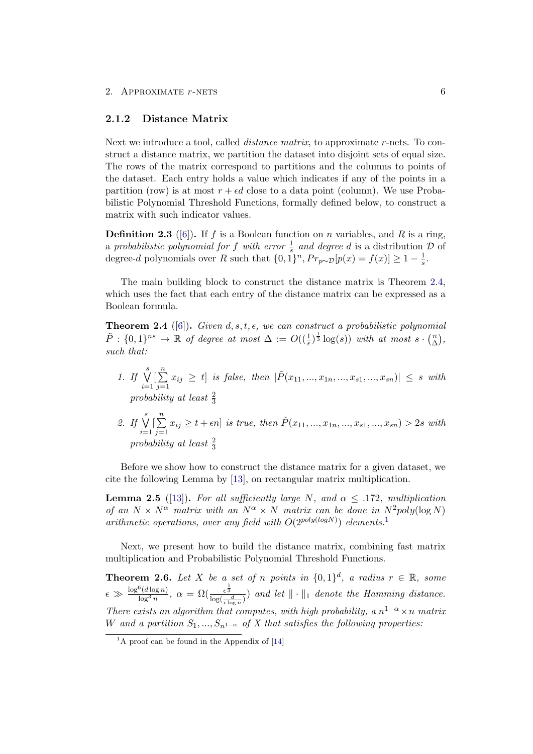#### <span id="page-9-0"></span>2.1.2 Distance Matrix

Next we introduce a tool, called *distance matrix*, to approximate r-nets. To construct a distance matrix, we partition the dataset into disjoint sets of equal size. The rows of the matrix correspond to partitions and the columns to points of the dataset. Each entry holds a value which indicates if any of the points in a partition (row) is at most  $r + \epsilon d$  close to a data point (column). We use Probabilistic Polynomial Threshold Functions, formally defined below, to construct a matrix with such indicator values.

**Definition 2.3** ([\[6\]](#page-27-6)). If f is a Boolean function on n variables, and R is a ring, a probabilistic polynomial for f with error  $\frac{1}{s}$  and degree d is a distribution  $\mathcal D$  of degree-d polynomials over R such that  $\{0, 1\}^n$ ,  $Pr_{p \sim \mathcal{D}}[p(x) = f(x)] \geq 1 - \frac{1}{s}$  $\frac{1}{s}$ .

The main building block to construct the distance matrix is Theorem [2.4,](#page-9-1) which uses the fact that each entry of the distance matrix can be expressed as a Boolean formula.

<span id="page-9-1"></span>**Theorem 2.4** ([\[6\]](#page-27-6)). Given d, s, t,  $\epsilon$ , we can construct a probabilistic polynomial  $\tilde{P}: \{0,1\}^{ns} \to \mathbb{R}$  of degree at most  $\Delta := O((\frac{1}{\epsilon})^{\frac{1}{3}} \log(s))$  with at most  $s \cdot {n \choose \Delta}$  $\binom{n}{\Delta}$  , such that:

- 1. If  $\bigvee^s$  $i=1$  $\left[\sum_{n=1}^{n}\right]$  $j=1$  $x_{ij} \geq t$  is false, then  $|\tilde{P}(x_{11},...,x_{1n},...,x_{s1},...,x_{sn})| \leq s$  with probability at least  $\frac{2}{3}$
- 2. If  $\bigvee^s$  $i=1$  $\left[\sum_{n=1}^{n}\right]$  $j=1$  $x_{ij} \geq t + \epsilon n$  is true, then  $\tilde{P}(x_{11},...,x_{1n},...,x_{s1},...,x_{sn}) > 2s$  with probability at least  $\frac{2}{3}$

Before we show how to construct the distance matrix for a given dataset, we cite the following Lemma by [\[13\]](#page-28-0), on rectangular matrix multiplication.

<span id="page-9-3"></span>**Lemma 2.5** ([\[13\]](#page-28-0)). For all sufficiently large N, and  $\alpha \leq .172$ , multiplication of an  $N \times N^{\alpha}$  matrix with an  $N^{\alpha} \times N$  matrix can be done in  $N^2$  poly(log N) arithmetic operations, over any field with  $O(2^{poly(logN)})$  elements.<sup>[1](#page-9-2)</sup>

Next, we present how to build the distance matrix, combining fast matrix multiplication and Probabilistic Polynomial Threshold Functions.

<span id="page-9-4"></span>**Theorem 2.6.** Let X be a set of n points in  $\{0,1\}^d$ , a radius  $r \in \mathbb{R}$ , some  $\epsilon \gg \frac{\log^6(d \log n)}{\log^3 n}$  $\frac{\log(\delta(\log n))}{\log^3 n}$ ,  $\alpha = \Omega(\frac{\epsilon^{\frac{1}{3}}}{\log(\frac{d}{\epsilon \log n})})$  and let  $\|\cdot\|_1$  denote the Hamming distance. There exists an algorithm that computes, with high probability, a  $n^{1-\alpha} \times n$  matrix W and a partition  $S_1, ..., S_{n^{1-\alpha}}$  of X that satisfies the following properties:

<span id="page-9-2"></span> $1_A$  proof can be found in the Appendix of [\[14\]](#page-28-1)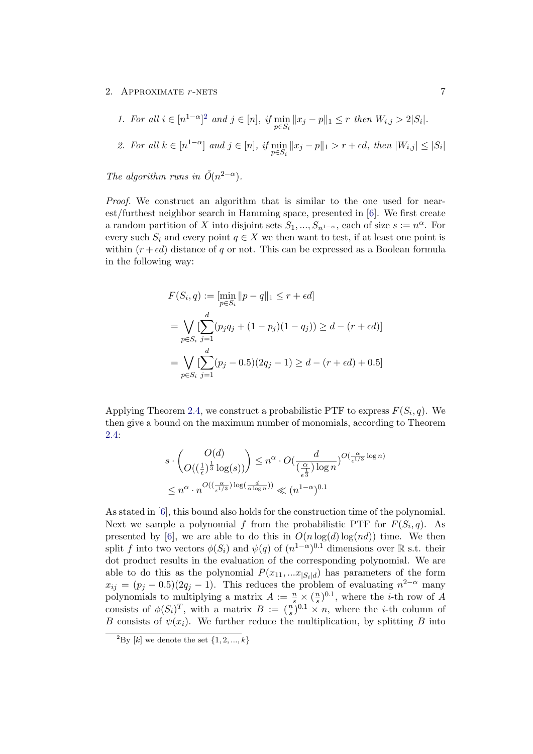1. For all  $i \in [n^{1-\alpha}]^2$  $i \in [n^{1-\alpha}]^2$  and  $j \in [n]$ , if  $\min_{p \in S_i} ||x_j - p||_1 \le r$  then  $W_{i,j} > 2|S_i|$ . 2. For all  $k \in [n^{1-\alpha}]$  and  $j \in [n]$ , if  $\min_{p \in S_i} ||x_j - p||_1 > r + \epsilon d$ , then  $|W_{i,j}| \leq |S_i|$ 

The algorithm runs in  $\tilde{O}(n^{2-\alpha})$ .

Proof. We construct an algorithm that is similar to the one used for nearest/furthest neighbor search in Hamming space, presented in [\[6\]](#page-27-6). We first create a random partition of X into disjoint sets  $S_1, ..., S_{n-1}$  and  $\alpha$  size  $s := n^{\alpha}$ . For every such  $S_i$  and every point  $q \in X$  we then want to test, if at least one point is within  $(r + \epsilon d)$  distance of q or not. This can be expressed as a Boolean formula in the following way:

$$
F(S_i, q) := \left[\min_{p \in S_i} ||p - q||_1 \le r + \epsilon d\right]
$$
  
=  $\bigvee_{p \in S_i} \left[\sum_{j=1}^d (p_j q_j + (1 - p_j)(1 - q_j)) \ge d - (r + \epsilon d)\right]$   
=  $\bigvee_{p \in S_i} \left[\sum_{j=1}^d (p_j - 0.5)(2q_j - 1) \ge d - (r + \epsilon d) + 0.5\right]$ 

Applying Theorem [2.4,](#page-9-1) we construct a probabilistic PTF to express  $F(S_i, q)$ . We then give a bound on the maximum number of monomials, according to Theorem [2.4:](#page-9-1)

$$
s \cdot \left(\bigodot_{O\left(\left(\frac{1}{\epsilon}\right)^{\frac{1}{3}} \log(s)\right)} O\left(\frac{d}{\left(\frac{\alpha}{\epsilon^{\frac{1}{3}}}\right) \log n}\right)^{O\left(\frac{\alpha}{\epsilon^{1/3}} \log n\right)}
$$
  

$$
\leq n^{\alpha} \cdot n^{O\left(\left(\frac{\alpha}{\epsilon^{1/3}}\right) \log\left(\frac{d}{\alpha \log n}\right)\right)} \ll (n^{1-\alpha})^{0.1}
$$

As stated in [\[6\]](#page-27-6), this bound also holds for the construction time of the polynomial. Next we sample a polynomial f from the probabilistic PTF for  $F(S_i, q)$ . As presented by [\[6\]](#page-27-6), we are able to do this in  $O(n \log(d) \log(nd))$  time. We then split f into two vectors  $\phi(S_i)$  and  $\psi(q)$  of  $(n^{1-\alpha})^{0.1}$  dimensions over R s.t. their dot product results in the evaluation of the corresponding polynomial. We are able to do this as the polynomial  $P(x_{11},...x_{|S_i|d})$  has parameters of the form  $x_{ij} = (p_j - 0.5)(2q_j - 1)$ . This reduces the problem of evaluating  $n^{2-\alpha}$  many polynomials to multiplying a matrix  $A := \frac{n}{s} \times (\frac{n}{s})$  $\frac{n}{s}$ )<sup>0.1</sup>, where the *i*-th row of A consists of  $\phi(S_i)^T$ , with a matrix  $B := \left(\frac{n}{s}\right)^{0.1} \times n$ , where the *i*-th column of B consists of  $\psi(x_i)$ . We further reduce the multiplication, by splitting B into

<span id="page-10-0"></span><sup>&</sup>lt;sup>2</sup>By [k] we denote the set  $\{1, 2, ..., k\}$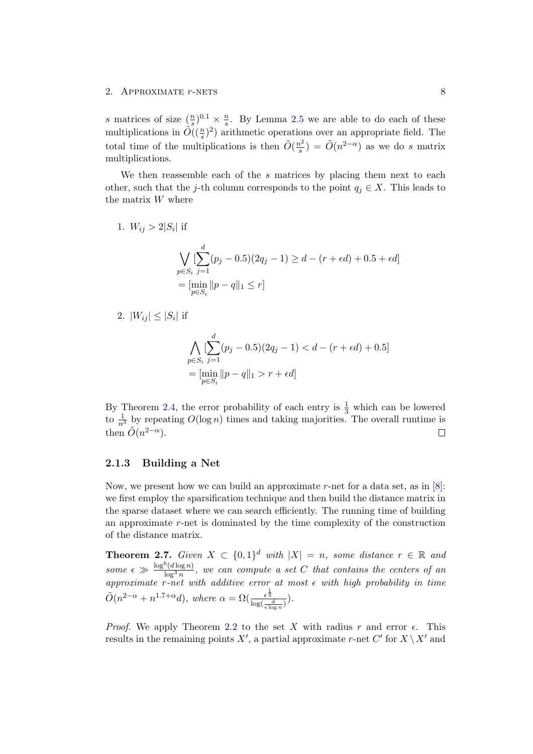s matrices of size  $(\frac{n}{s})^{0.1} \times \frac{n}{s}$  $\frac{n}{s}$ . By Lemma [2.5](#page-9-3) we are able to do each of these multiplications in  $\tilde{O}((\frac{n}{s})^2)$  arithmetic operations over an appropriate field. The total time of the multiplications is then  $\tilde{O}(\frac{n^2}{s})$  $\frac{n^2}{s}$ ) =  $\tilde{O}(n^{2-\alpha})$  as we do s matrix multiplications.

We then reassemble each of the  $s$  matrices by placing them next to each other, such that the j-th column corresponds to the point  $q_j \in X$ . This leads to the matrix  $W$  where

1. 
$$
W_{ij} > 2|S_i|
$$
 if  
\n
$$
\bigvee_{p \in S_i} \left[ \sum_{j=1}^d (p_j - 0.5)(2q_j - 1) \ge d - (r + \epsilon d) + 0.5 + \epsilon d \right]
$$
\n
$$
= \left[ \min_{p \in S_i} ||p - q||_1 \le r \right]
$$

2.  $|W_{ij}| \leq |S_i|$  if

$$
\bigwedge_{p \in S_i} \left[ \sum_{j=1}^d (p_j - 0.5)(2q_j - 1) < d - (r + \epsilon d) + 0.5 \right]
$$
\n
$$
= \left[ \min_{p \in S_i} \| p - q \|_1 > r + \epsilon d \right]
$$

By Theorem [2.4,](#page-9-1) the error probability of each entry is  $\frac{1}{3}$  which can be lowered to  $\frac{1}{n^3}$  by repeating  $O(\log n)$  times and taking majorities. The overall runtime is then  $\tilde{O}(n^{2-\alpha})$ .  $\Box$ 

#### <span id="page-11-0"></span>2.1.3 Building a Net

Now, we present how we can build an approximate r-net for a data set, as in  $[8]$ : we first employ the sparsification technique and then build the distance matrix in the sparse dataset where we can search efficiently. The running time of building an approximate r-net is dominated by the time complexity of the construction of the distance matrix.

<span id="page-11-1"></span>**Theorem 2.7.** Given  $X \subset \{0,1\}^d$  with  $|X| = n$ , some distance  $r \in \mathbb{R}$  and some  $\epsilon \gg \frac{\log^6(d \log n)}{\log^3 n}$  $\frac{\Gamma(a \log n)}{\log^3 n}$ , we can compute a set C that contains the centers of an approximate r-net with additive error at most  $\epsilon$  with high probability in time  $\tilde{O}(n^{2-\alpha}+n^{1.7+\alpha}d), \text{ where } \alpha=\Omega(\frac{\epsilon^{\frac{2}{3}}}{\log(\frac{d}{\epsilon \log n})}).$ 

*Proof.* We apply Theorem [2.2](#page-8-1) to the set X with radius r and error  $\epsilon$ . This results in the remaining points X', a partial approximate r-net C' for  $X \setminus X'$  and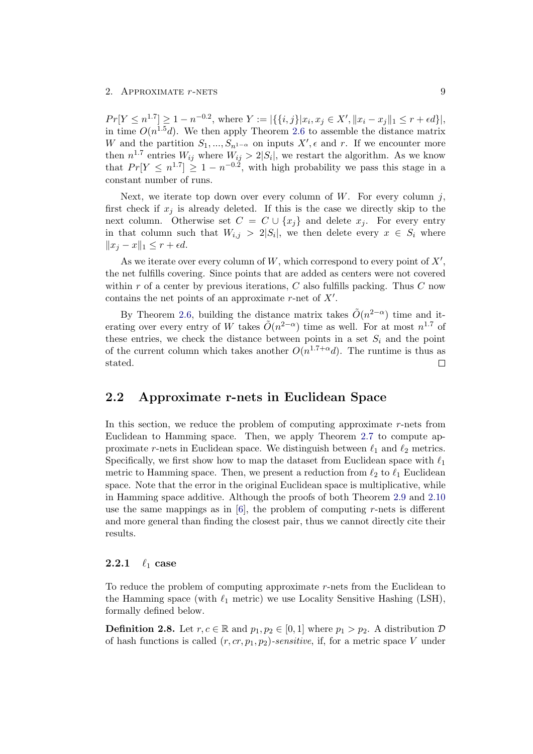$Pr[Y \le n^{1.7}] \ge 1 - n^{-0.2}$ , where  $Y := |\{\{i, j\}| x_i, x_j \in X', ||x_i - x_j||_1 \le r + \epsilon d\}|$ , in time  $O(n^{1.5}d)$ . We then apply Theorem [2.6](#page-9-4) to assemble the distance matrix W and the partition  $S_1, ..., S_{n^{1-\alpha}}$  on inputs  $X', \epsilon$  and r. If we encounter more then  $n^{1.7}$  entries  $W_{ij}$  where  $W_{ij} > 2|S_i|$ , we restart the algorithm. As we know that  $Pr[Y \leq n^{1.7}] \geq 1 - n^{-0.2}$ , with high probability we pass this stage in a constant number of runs.

Next, we iterate top down over every column of  $W$ . For every column j, first check if  $x_j$  is already deleted. If this is the case we directly skip to the next column. Otherwise set  $C = C \cup \{x_j\}$  and delete  $x_j$ . For every entry in that column such that  $W_{i,j} > 2|S_i|$ , we then delete every  $x \in S_i$  where  $||x_i - x||_1 \leq r + \epsilon d.$ 

As we iterate over every column of  $W$ , which correspond to every point of  $X'$ , the net fulfills covering. Since points that are added as centers were not covered within r of a center by previous iterations,  $C$  also fulfills packing. Thus  $C$  now contains the net points of an approximate  $r$ -net of  $X'$ .

By Theorem [2.6,](#page-9-4) building the distance matrix takes  $\tilde{O}(n^{2-\alpha})$  time and iterating over every entry of W takes  $\tilde{O}(n^{2-\alpha})$  time as well. For at most  $n^{1.7}$  of these entries, we check the distance between points in a set  $S_i$  and the point of the current column which takes another  $O(n^{1.7+\alpha}d)$ . The runtime is thus as  $\Box$ stated.

### <span id="page-12-0"></span>2.2 Approximate r-nets in Euclidean Space

In this section, we reduce the problem of computing approximate  $r$ -nets from Euclidean to Hamming space. Then, we apply Theorem [2.7](#page-11-1) to compute approximate r-nets in Euclidean space. We distinguish between  $\ell_1$  and  $\ell_2$  metrics. Specifically, we first show how to map the dataset from Euclidean space with  $\ell_1$ metric to Hamming space. Then, we present a reduction from  $\ell_2$  to  $\ell_1$  Euclidean space. Note that the error in the original Euclidean space is multiplicative, while in Hamming space additive. Although the proofs of both Theorem [2.9](#page-13-0) and [2.10](#page-15-1) use the same mappings as in  $[6]$ , the problem of computing r-nets is different and more general than finding the closest pair, thus we cannot directly cite their results.

### <span id="page-12-1"></span>2.2.1  $\ell_1$  case

To reduce the problem of computing approximate r-nets from the Euclidean to the Hamming space (with  $\ell_1$  metric) we use Locality Sensitive Hashing (LSH), formally defined below.

**Definition 2.8.** Let  $r, c \in \mathbb{R}$  and  $p_1, p_2 \in [0, 1]$  where  $p_1 > p_2$ . A distribution  $\mathcal{D}$ of hash functions is called  $(r, cr, p_1, p_2)$ -sensitive, if, for a metric space V under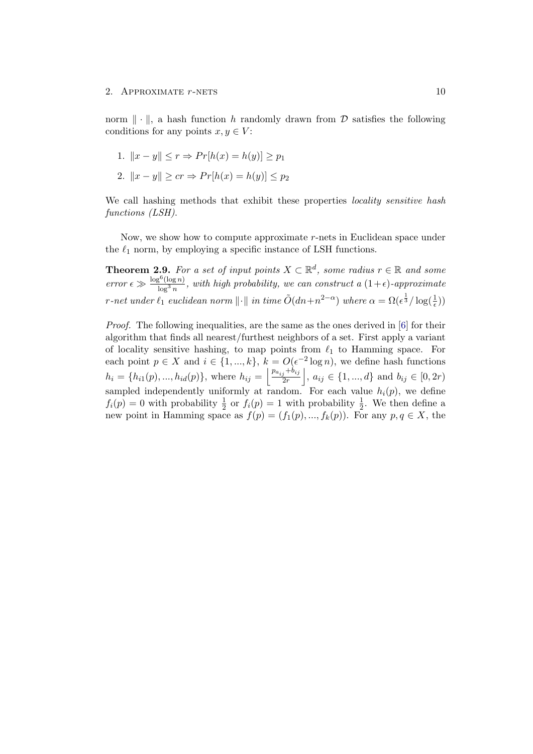norm  $\|\cdot\|$ , a hash function h randomly drawn from D satisfies the following conditions for any points  $x, y \in V$ :

1. 
$$
||x - y|| \le r \Rightarrow Pr[h(x) = h(y)] \ge p_1
$$

2.  $||x - y|| \geq cr \Rightarrow Pr[h(x) = h(y)] \leq p_2$ 

We call hashing methods that exhibit these properties *locality sensitive hash* functions (LSH).

Now, we show how to compute approximate r-nets in Euclidean space under the  $\ell_1$  norm, by employing a specific instance of LSH functions.

<span id="page-13-0"></span>**Theorem 2.9.** For a set of input points  $X \subset \mathbb{R}^d$ , some radius  $r \in \mathbb{R}$  and some  $error \epsilon \gg \frac{\log^6(\log n)}{\log^3 n}$  $\frac{\partial S^{\alpha}(\log n)}{\log^3 n}$ , with high probability, we can construct a  $(1+\epsilon)$ -approximate r-net under  $\ell_1$  euclidean norm  $\|\cdot\|$  in time  $\tilde O(dn+n^{2-\alpha})$  where  $\alpha = \Omega(\epsilon^{\frac{1}{3}}/\log(\frac{1}{\epsilon}))$ 

Proof. The following inequalities, are the same as the ones derived in [\[6\]](#page-27-6) for their algorithm that finds all nearest/furthest neighbors of a set. First apply a variant of locality sensitive hashing, to map points from  $\ell_1$  to Hamming space. For each point  $p \in X$  and  $i \in \{1, ..., k\}, k = O(\epsilon^{-2} \log n)$ , we define hash functions  $h_i = \{h_{i1}(p), ..., h_{id}(p)\}\$ , where  $h_{ij} = \left\lfloor \frac{p_{a_{ij}} + b_{ij}}{2r} \right\rfloor$  $\left\{ \frac{j+b_{ij}}{2r} \right\}$ ,  $a_{ij} \in \{1, ..., d\}$  and  $b_{ij} \in [0, 2r)$ sampled independently uniformly at random. For each value  $h_i(p)$ , we define  $f_i(p) = 0$  with probability  $\frac{1}{2}$  or  $f_i(p) = 1$  with probability  $\frac{1}{2}$ . We then define a new point in Hamming space as  $f(p) = (f_1(p), ..., f_k(p))$ . For any  $p, q \in X$ , the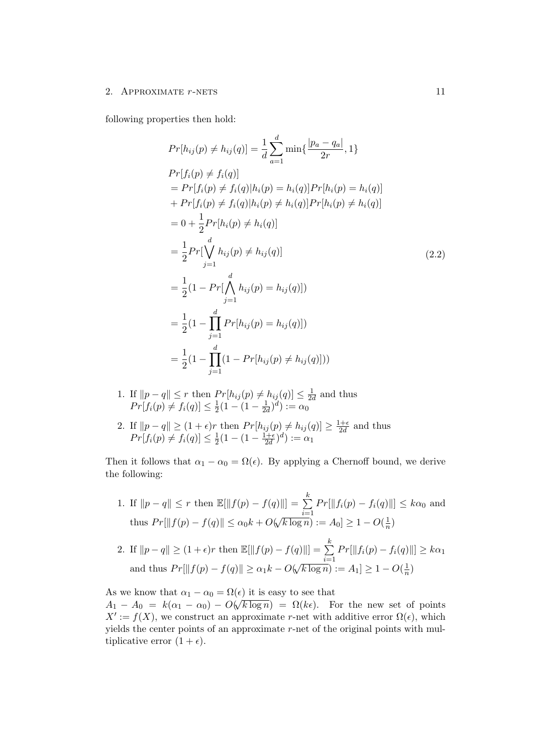following properties then hold:

$$
Pr[h_{ij}(p) \neq h_{ij}(q)] = \frac{1}{d} \sum_{a=1}^{d} \min\{\frac{|p_a - q_a|}{2r}, 1\}
$$
  
\n
$$
Pr[f_i(p) \neq f_i(q)]
$$
  
\n
$$
= Pr[f_i(p) \neq f_i(q)|h_i(p) = h_i(q)]Pr[h_i(p) = h_i(q)]
$$
  
\n
$$
+ Pr[f_i(p) \neq f_i(q)|h_i(p) \neq h_i(q)]Pr[h_i(p) \neq h_i(q)]
$$
  
\n
$$
= 0 + \frac{1}{2}Pr[h_i(p) \neq h_i(q)]
$$
  
\n
$$
= \frac{1}{2}Pr[\bigvee_{j=1}^{d} h_{ij}(p) \neq h_{ij}(q)]
$$
  
\n
$$
= \frac{1}{2}(1 - Pr[\bigwedge_{j=1}^{d} h_{ij}(p) = h_{ij}(q)])
$$
  
\n
$$
= \frac{1}{2}(1 - \prod_{j=1}^{d} Pr[h_{ij}(p) = h_{ij}(q)])
$$
  
\n
$$
= \frac{1}{2}(1 - \prod_{j=1}^{d} (1 - Pr[h_{ij}(p) \neq h_{ij}(q)]))
$$

- 1. If  $||p-q|| \leq r$  then  $Pr[h_{ij}(p) \neq h_{ij}(q)] \leq \frac{1}{2d}$  $\frac{1}{2d}$  and thus  $Pr[f_i(p) \neq f_i(q)] \leq \frac{1}{2}$  $\frac{1}{2}(1-(1-\frac{1}{2a}))$  $(\frac{1}{2d})^d) := \alpha_0$
- 2. If  $||p q|| \ge (1 + \epsilon)r$  then  $Pr[h_{ij}(p) \ne h_{ij}(q)] \ge \frac{1 + \epsilon}{2d}$  $\frac{d+e}{2d}$  and thus  $Pr[f_i(p) \neq f_i(q)] \leq \frac{1}{2}$  $\frac{1}{2}(1-(1-\frac{1+\epsilon}{2d}))$  $\frac{(1+\epsilon}{2d})^d) := \alpha_1$

Then it follows that  $\alpha_1 - \alpha_0 = \Omega(\epsilon)$ . By applying a Chernoff bound, we derive the following:

1. If  $||p - q|| \leq r$  then  $\mathbb{E}[||f(p) - f(q)||] = \sum_{k=1}^{k}$  $i=1$  $Pr[\|f_i(p) - f_i(q)\|] \leq k\alpha_0$  and thus  $Pr[\|f(p) - f(q)\| \le \alpha_0 k + O(k)$ √  $(k \log n) := A_0 \geq 1 - O(\frac{1}{n})$  $\frac{1}{n}$ k

2. If 
$$
||p - q|| \ge (1 + \epsilon)r
$$
 then  $\mathbb{E}[||f(p) - f(q)||] = \sum_{i=1}^{n} Pr[||f_i(p) - f_i(q)||] \ge k\alpha_1$   
and thus  $Pr[||f(p) - f(q)||] \ge \alpha_1 k - O(\sqrt{k \log n}) := A_1] \ge 1 - O(\frac{1}{n})$ 

As we know that  $\alpha_1 - \alpha_0 = \Omega(\epsilon)$  it is easy to see that  $A_1 - A_0 = k(\alpha_1 - \alpha_0) - O(\sqrt{k \log n}) = \Omega(k\epsilon)$ . For the new set of points  $X' := f(X)$ , we construct an approximate r-net with additive error  $\Omega(\epsilon)$ , which yields the center points of an approximate  $r$ -net of the original points with multiplicative error  $(1 + \epsilon)$ .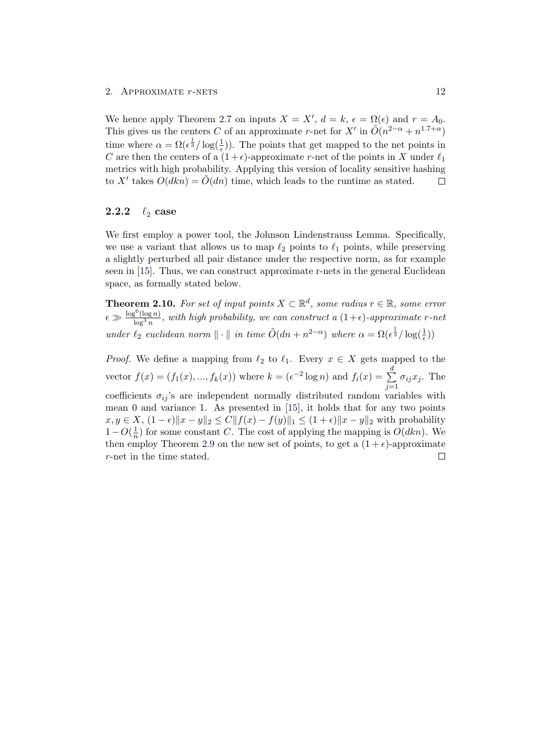We hence apply Theorem [2.7](#page-11-1) on inputs  $X = X'$ ,  $d = k$ ,  $\epsilon = \Omega(\epsilon)$  and  $r = A_0$ . This gives us the centers C of an approximate r-net for X' in  $\tilde{O}(n^{2-\alpha}+n^{1.7+\alpha})$ time where  $\alpha = \Omega(\epsilon^{\frac{1}{3}}/\log(\frac{1}{\epsilon}))$ . The points that get mapped to the net points in C are then the centers of a  $(1+\epsilon)$ -approximate r-net of the points in X under  $\ell_1$ metrics with high probability. Applying this version of locality sensitive hashing to X' takes  $O(dkn) = \tilde{O}(dn)$  time, which leads to the runtime as stated.  $\Box$ 

### <span id="page-15-0"></span>2.2.2  $\ell_2$  case

We first employ a power tool, the Johnson Lindenstrauss Lemma. Specifically, we use a variant that allows us to map  $\ell_2$  points to  $\ell_1$  points, while preserving a slightly perturbed all pair distance under the respective norm, as for example seen in [\[15\]](#page-28-2). Thus, we can construct approximate r-nets in the general Euclidean space, as formally stated below.

<span id="page-15-1"></span>**Theorem 2.10.** For set of input points  $X \subset \mathbb{R}^d$ , some radius  $r \in \mathbb{R}$ , some error  $\epsilon \gg \frac{\log^6(\log n)}{\log^3 n}$  $\frac{\partial S(\log n)}{\log^3 n}$ , with high probability, we can construct a  $(1+\epsilon)$ -approximate r-net under  $\ell_2$  euclidean norm  $\|\cdot\|$  in time  $\tilde{O}(dn + n^{2-\alpha})$  where  $\alpha = \Omega(\epsilon^{\frac{1}{3}}/\log(\frac{1}{\epsilon}))$ 

*Proof.* We define a mapping from  $\ell_2$  to  $\ell_1$ . Every  $x \in X$  gets mapped to the vector  $f(x) = (f_1(x), ..., f_k(x))$  where  $k = (e^{-2} \log n)$  and  $f_i(x) = \sum_{k=1}^{d} f_k(x)$  $\sigma_{ij}x_j$ . The  $j=1$ coefficients  $\sigma_{ij}$ 's are independent normally distributed random variables with mean 0 and variance 1. As presented in [\[15\]](#page-28-2), it holds that for any two points  $x, y \in X$ ,  $(1 - \epsilon) \|x - y\|_2 \le C \|f(x) - f(y)\|_1 \le (1 + \epsilon) \|x - y\|_2$  with probability  $1-O(\frac{1}{n})$  $\frac{1}{n}$ ) for some constant C. The cost of applying the mapping is  $O(dkn)$ . We then employ Theorem [2.9](#page-13-0) on the new set of points, to get a  $(1 + \epsilon)$ -approximate r-net in the time stated. $\Box$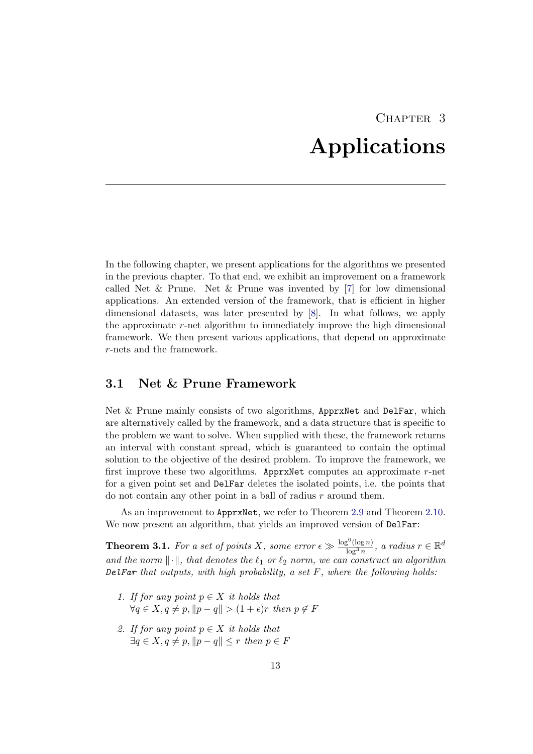# CHAPTER<sub>3</sub> Applications

<span id="page-16-0"></span>In the following chapter, we present applications for the algorithms we presented in the previous chapter. To that end, we exhibit an improvement on a framework called Net & Prune. Net & Prune was invented by  $[7]$  for low dimensional applications. An extended version of the framework, that is efficient in higher dimensional datasets, was later presented by [\[8\]](#page-27-8). In what follows, we apply the approximate r-net algorithm to immediately improve the high dimensional framework. We then present various applications, that depend on approximate r-nets and the framework.

### <span id="page-16-1"></span>3.1 Net & Prune Framework

Net & Prune mainly consists of two algorithms, ApprxNet and DelFar, which are alternatively called by the framework, and a data structure that is specific to the problem we want to solve. When supplied with these, the framework returns an interval with constant spread, which is guaranteed to contain the optimal solution to the objective of the desired problem. To improve the framework, we first improve these two algorithms. ApprxNet computes an approximate r-net for a given point set and DelFar deletes the isolated points, i.e. the points that do not contain any other point in a ball of radius  $r$  around them.

As an improvement to ApprxNet, we refer to Theorem [2.9](#page-13-0) and Theorem [2.10.](#page-15-1) We now present an algorithm, that yields an improved version of DelFar:

**Theorem 3.1.** For a set of points X, some error  $\epsilon \gg \frac{\log^6(\log n)}{\log^3 n}$  $\frac{\sigma^{\mathrm{o}}(\log n)}{\log^3 n}$ , a radius  $r \in \mathbb{R}^d$ and the norm  $\lVert \cdot \rVert$ , that denotes the  $\ell_1$  or  $\ell_2$  norm, we can construct an algorithm DelFar that outputs, with high probability, a set  $F$ , where the following holds:

- 1. If for any point  $p \in X$  it holds that  $\forall q \in X, q \neq p, ||p - q|| > (1 + \epsilon)r$  then  $p \notin F$
- 2. If for any point  $p \in X$  it holds that  $\exists q \in X, q \neq p, ||p - q|| \leq r$  then  $p \in F$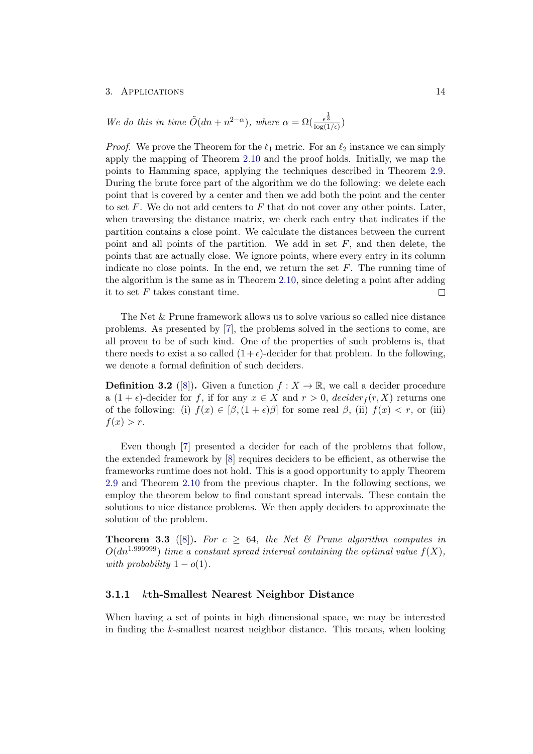We do this in time  $\tilde{O}(dn + n^{2-\alpha})$ , where  $\alpha = \Omega(\frac{\epsilon^{\frac{1}{3}}}{\log(1/\epsilon)})$ 

*Proof.* We prove the Theorem for the  $\ell_1$  metric. For an  $\ell_2$  instance we can simply apply the mapping of Theorem [2.10](#page-15-1) and the proof holds. Initially, we map the points to Hamming space, applying the techniques described in Theorem [2.9.](#page-13-0) During the brute force part of the algorithm we do the following: we delete each point that is covered by a center and then we add both the point and the center to set  $F$ . We do not add centers to  $F$  that do not cover any other points. Later, when traversing the distance matrix, we check each entry that indicates if the partition contains a close point. We calculate the distances between the current point and all points of the partition. We add in set  $F$ , and then delete, the points that are actually close. We ignore points, where every entry in its column indicate no close points. In the end, we return the set  $F$ . The running time of the algorithm is the same as in Theorem [2.10,](#page-15-1) since deleting a point after adding it to set  $F$  takes constant time.  $\Box$ 

The Net & Prune framework allows us to solve various so called nice distance problems. As presented by [\[7\]](#page-27-7), the problems solved in the sections to come, are all proven to be of such kind. One of the properties of such problems is, that there needs to exist a so called  $(1+\epsilon)$ -decider for that problem. In the following, we denote a formal definition of such deciders.

**Definition 3.2** ([\[8\]](#page-27-8)). Given a function  $f: X \to \mathbb{R}$ , we call a decider procedure a  $(1 + \epsilon)$ -decider for f, if for any  $x \in X$  and  $r > 0$ , decider  $f(r, X)$  returns one of the following: (i)  $f(x) \in [\beta, (1 + \epsilon)\beta]$  for some real  $\beta$ , (ii)  $f(x) < r$ , or (iii)  $f(x) > r$ .

Even though [\[7\]](#page-27-7) presented a decider for each of the problems that follow, the extended framework by [\[8\]](#page-27-8) requires deciders to be efficient, as otherwise the frameworks runtime does not hold. This is a good opportunity to apply Theorem [2.9](#page-13-0) and Theorem [2.10](#page-15-1) from the previous chapter. In the following sections, we employ the theorem below to find constant spread intervals. These contain the solutions to nice distance problems. We then apply deciders to approximate the solution of the problem.

**Theorem 3.3** ([\[8\]](#page-27-8)). For  $c > 64$ , the Net  $\&$  Prune algorithm computes in  $O(dn^{1.999999})$  time a constant spread interval containing the optimal value  $f(X)$ , with probability  $1 - o(1)$ .

#### <span id="page-17-0"></span>3.1.1 kth-Smallest Nearest Neighbor Distance

When having a set of points in high dimensional space, we may be interested in finding the k-smallest nearest neighbor distance. This means, when looking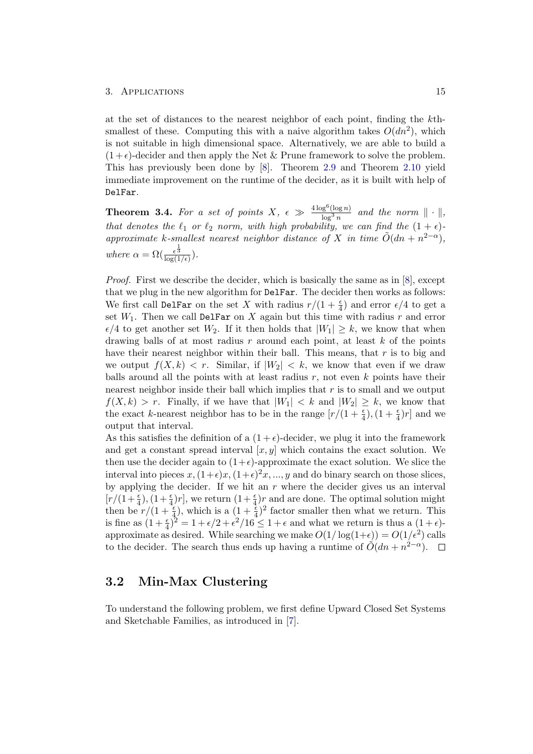at the set of distances to the nearest neighbor of each point, finding the kthsmallest of these. Computing this with a naive algorithm takes  $O(dn^2)$ , which is not suitable in high dimensional space. Alternatively, we are able to build a  $(1+\epsilon)$ -decider and then apply the Net & Prune framework to solve the problem. This has previously been done by [\[8\]](#page-27-8). Theorem [2.9](#page-13-0) and Theorem [2.10](#page-15-1) yield immediate improvement on the runtime of the decider, as it is built with help of DelFar.

<span id="page-18-1"></span>**Theorem 3.4.** For a set of points  $X, \epsilon \gg \frac{4 \log^6 (\log n)}{\log^3 n}$  $\frac{\log^2(\log n)}{\log^3 n}$  and the norm  $\|\cdot\|$ , that denotes the  $\ell_1$  or  $\ell_2$  norm, with high probability, we can find the  $(1 + \epsilon)$ approximate k-smallest nearest neighbor distance of X in time  $\tilde{O}(dn + n^{2-\alpha})$ , where  $\alpha = \Omega(\frac{\epsilon^{\frac{1}{3}}}{\log(1/\epsilon)})$ .

Proof. First we describe the decider, which is basically the same as in [\[8\]](#page-27-8), except that we plug in the new algorithm for DelFar. The decider then works as follows: We first call DelFar on the set X with radius  $r/(1+\frac{\epsilon}{4})$  and error  $\epsilon/4$  to get a set  $W_1$ . Then we call DelFar on X again but this time with radius r and error  $\epsilon/4$  to get another set  $W_2$ . If it then holds that  $|W_1| \geq k$ , we know that when drawing balls of at most radius r around each point, at least  $k$  of the points have their nearest neighbor within their ball. This means, that  $r$  is to big and we output  $f(X, k) < r$ . Similar, if  $|W_2| < k$ , we know that even if we draw balls around all the points with at least radius  $r$ , not even  $k$  points have their nearest neighbor inside their ball which implies that  $r$  is to small and we output  $f(X, k) > r$ . Finally, if we have that  $|W_1| < k$  and  $|W_2| \geq k$ , we know that the exact k-nearest neighbor has to be in the range  $[r/(1+\frac{\epsilon}{4}), (1+\frac{\epsilon}{4})r]$  and we output that interval.

As this satisfies the definition of a  $(1 + \epsilon)$ -decider, we plug it into the framework and get a constant spread interval  $[x, y]$  which contains the exact solution. We then use the decider again to  $(1+\epsilon)$ -approximate the exact solution. We slice the interval into pieces  $x, (1+\epsilon)x, (1+\epsilon)^2x, ..., y$  and do binary search on those slices, by applying the decider. If we hit an  $r$  where the decider gives us an interval  $[r/(1+\frac{\epsilon}{4}), (1+\frac{\epsilon}{4})r]$ , we return  $(1+\frac{\epsilon}{4})r$  and are done. The optimal solution might then be  $r/(1+\frac{\epsilon}{4})$ , which is a  $(1+\frac{\epsilon}{4})^2$  factor smaller then what we return. This is fine as  $(1+\frac{\epsilon}{4})^2 = 1+\epsilon/2+\epsilon^2/16 \leq 1+\epsilon$  and what we return is thus a  $(1+\epsilon)$ approximate as desired. While searching we make  $O(1/\log(1+\epsilon)) = O(1/\epsilon^2)$  calls to the decider. The search thus ends up having a runtime of  $O(dn + n^{2-\alpha})$ .

### <span id="page-18-0"></span>3.2 Min-Max Clustering

To understand the following problem, we first define Upward Closed Set Systems and Sketchable Families, as introduced in [\[7\]](#page-27-7).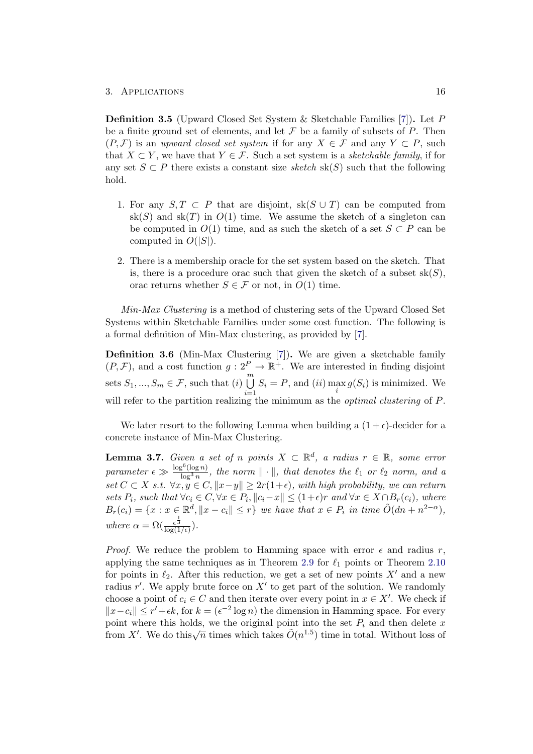Definition 3.5 (Upward Closed Set System & Sketchable Families [\[7\]](#page-27-7)). Let P be a finite ground set of elements, and let  $\mathcal F$  be a family of subsets of  $P$ . Then  $(P, \mathcal{F})$  is an upward closed set system if for any  $X \in \mathcal{F}$  and any  $Y \subset P$ , such that  $X \subset Y$ , we have that  $Y \in \mathcal{F}$ . Such a set system is a *sketchable family*, if for any set  $S \subset P$  there exists a constant size sketch sk(S) such that the following hold.

- 1. For any  $S, T \subset P$  that are disjoint, sk( $S \cup T$ ) can be computed from  $sk(S)$  and  $sk(T)$  in  $O(1)$  time. We assume the sketch of a singleton can be computed in  $O(1)$  time, and as such the sketch of a set  $S \subset P$  can be computed in  $O(|S|)$ .
- 2. There is a membership oracle for the set system based on the sketch. That is, there is a procedure orac such that given the sketch of a subset  $sk(S)$ , orac returns whether  $S \in \mathcal{F}$  or not, in  $O(1)$  time.

Min-Max Clustering is a method of clustering sets of the Upward Closed Set Systems within Sketchable Families under some cost function. The following is a formal definition of Min-Max clustering, as provided by [\[7\]](#page-27-7).

Definition 3.6 (Min-Max Clustering [\[7\]](#page-27-7)). We are given a sketchable family  $(P, \mathcal{F})$ , and a cost function  $g: 2^P \to \mathbb{R}^+$ . We are interested in finding disjoint sets  $S_1, ..., S_m \in \mathcal{F}$ , such that  $(i) \bigcup^m$  $i=1$  $S_i = P$ , and  $(ii) \max_i g(S_i)$  is minimized. We will refer to the partition realizing the minimum as the *optimal clustering* of P.

We later resort to the following Lemma when building a  $(1 + \epsilon)$ -decider for a concrete instance of Min-Max Clustering.

<span id="page-19-0"></span>**Lemma 3.7.** Given a set of n points  $X \subset \mathbb{R}^d$ , a radius  $r \in \mathbb{R}$ , some error parameter  $\epsilon \gg \frac{\log^6(\log n)}{\log^3 n}$  $\frac{\int S^2(\log n)}{\log^3 n}$ , the norm  $\|\cdot\|$ , that denotes the  $\ell_1$  or  $\ell_2$  norm, and a set  $C \subset X$  s.t.  $\forall x, y \in C, ||x-y|| \geq 2r(1+\epsilon)$ , with high probability, we can return sets  $P_i$ , such that  $\forall c_i \in C, \forall x \in P_i, ||c_i-x|| \leq (1+\epsilon)r$  and  $\forall x \in X \cap B_r(c_i)$ , where  $B_r(c_i) = \{x : x \in \mathbb{R}^d, \|x - c_i\| \leq r\}$  we have that  $x \in P_i$  in time  $\tilde{O}(dn + n^{2-\alpha}),$ where  $\alpha = \Omega(\frac{\epsilon^{\frac{1}{3}}}{\log(1/\epsilon)})$ .

*Proof.* We reduce the problem to Hamming space with error  $\epsilon$  and radius r, applying the same techniques as in Theorem [2.9](#page-13-0) for  $\ell_1$  points or Theorem [2.10](#page-15-1) for points in  $\ell_2$ . After this reduction, we get a set of new points X' and a new radius  $r'$ . We apply brute force on  $X'$  to get part of the solution. We randomly choose a point of  $c_i \in C$  and then iterate over every point in  $x \in X'$ . We check if  $||x-c_i||$  ≤  $r' + \epsilon k$ , for  $k = (\epsilon^{-2} \log n)$  the dimension in Hamming space. For every point where this holds, we the original point into the set  $P_i$  and then delete x From X'. We do this  $\sqrt{n}$  times which takes  $\tilde{O}(n^{1.5})$  time in total. Without loss of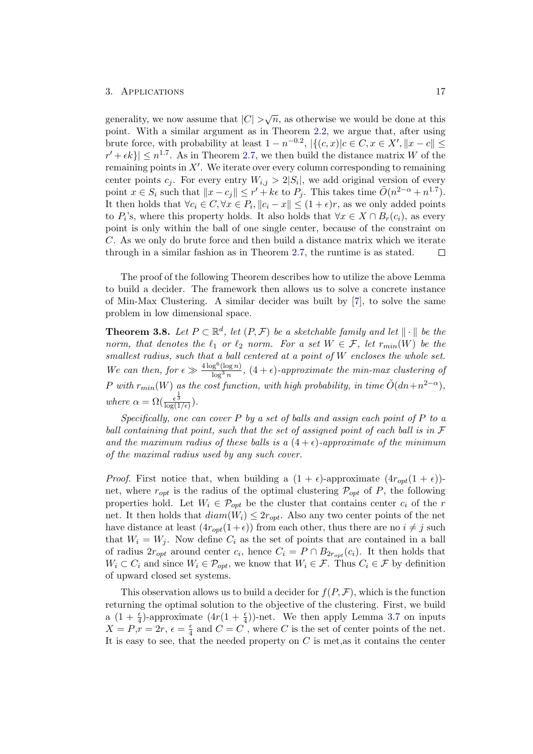generality, we now assume that  $|C| > \sqrt{n}$ , as otherwise we would be done at this point. With a similar argument as in Theorem [2.2,](#page-8-1) we argue that, after using brute force, with probability at least  $1 - n^{-0.2}$ ,  $|\{(c, x)|c \in C, x \in X', ||x - c|| \le$  $|r' + \epsilon k\rangle | \leq n^{1.7}$ . As in Theorem [2.7,](#page-11-1) we then build the distance matrix W of the remaining points in  $X'$ . We iterate over every column corresponding to remaining center points  $c_j$ . For every entry  $W_{i,j} > 2|S_i|$ , we add original version of every point  $x \in S_i$  such that  $||x - c_j|| \leq r' + k\epsilon$  to  $P_j$ . This takes time  $\tilde{O}(n^{2-\alpha} + n^{1.7})$ . It then holds that  $\forall c_i \in C, \forall x \in P_i, ||c_i - x|| \leq (1 + \epsilon)r$ , as we only added points to  $P_i$ 's, where this property holds. It also holds that  $\forall x \in X \cap B_r(c_i)$ , as every point is only within the ball of one single center, because of the constraint on C. As we only do brute force and then build a distance matrix which we iterate through in a similar fashion as in Theorem [2.7,](#page-11-1) the runtime is as stated.  $\Box$ 

The proof of the following Theorem describes how to utilize the above Lemma to build a decider. The framework then allows us to solve a concrete instance of Min-Max Clustering. A similar decider was built by [\[7\]](#page-27-7), to solve the same problem in low dimensional space.

**Theorem 3.8.** Let  $P \subset \mathbb{R}^d$ , let  $(P, \mathcal{F})$  be a sketchable family and let  $\|\cdot\|$  be the norm, that denotes the  $\ell_1$  or  $\ell_2$  norm. For a set  $W \in \mathcal{F}$ , let  $r_{min}(W)$  be the smallest radius, such that a ball centered at a point of W encloses the whole set. We can then, for  $\epsilon \gg \frac{4 \log^6 (\log n)}{\log^3 n}$  $\frac{\log^2(\log n)}{\log^3 n}$ ,  $(4 + \epsilon)$ -approximate the min-max clustering of P with  $r_{min}(W)$  as the cost function, with high probability, in time  $\tilde{O}(dn+n^{2-\alpha})$ , where  $\alpha = \Omega(\frac{\epsilon^{\frac{1}{3}}}{\log(1/\epsilon)})$ .

Specifically, one can cover P by a set of balls and assign each point of P to a ball containing that point, such that the set of assigned point of each ball is in F and the maximum radius of these balls is a  $(4+\epsilon)$ -approximate of the minimum of the maximal radius used by any such cover.

*Proof.* First notice that, when building a  $(1 + \epsilon)$ -approximate  $(4r_{opt}(1 + \epsilon))$ net, where  $r_{opt}$  is the radius of the optimal clustering  $\mathcal{P}_{opt}$  of P, the following properties hold. Let  $W_i \in \mathcal{P}_{opt}$  be the cluster that contains center  $c_i$  of the r net. It then holds that  $diam(W_i) \leq 2r_{opt}$ . Also any two center points of the net have distance at least  $(4r_{opt}(1+\epsilon))$  from each other, thus there are no  $i \neq j$  such that  $W_i = W_j$ . Now define  $C_i$  as the set of points that are contained in a ball of radius  $2r_{opt}$  around center  $c_i$ , hence  $C_i = P \cap B_{2r_{opt}}(c_i)$ . It then holds that  $W_i \subset C_i$  and since  $W_i \in \mathcal{P}_{opt}$ , we know that  $W_i \in \mathcal{F}$ . Thus  $C_i \in \mathcal{F}$  by definition of upward closed set systems.

This observation allows us to build a decider for  $f(P, \mathcal{F})$ , which is the function returning the optimal solution to the objective of the clustering. First, we build a  $(1 + \frac{\epsilon}{4})$ -approximate  $(4r(1 + \frac{\epsilon}{4}))$ -net. We then apply Lemma [3.7](#page-19-0) on inputs  $X = P, r = 2r, \epsilon = \frac{\epsilon}{4}$  $\frac{\epsilon}{4}$  and  $C = C$ , where C is the set of center points of the net. It is easy to see, that the needed property on  $C$  is met, as it contains the center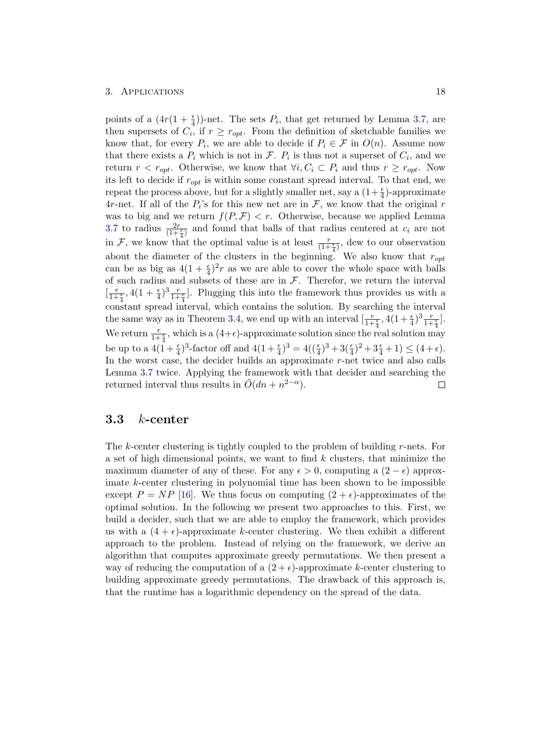points of a  $(4r(1+\frac{\epsilon}{4}))$ -net. The sets  $P_i$ , that get returned by Lemma [3.7,](#page-19-0) are then supersets of  $C_i$ , if  $r \geq r_{opt}$ . From the definition of sketchable families we know that, for every  $P_i$ , we are able to decide if  $P_i \in \mathcal{F}$  in  $O(n)$ . Assume now that there exists a  $P_i$  which is not in  $\mathcal{F}$ .  $P_i$  is thus not a superset of  $C_i$ , and we return  $r < r_{opt}$ . Otherwise, we know that  $\forall i, C_i \subset P_i$  and thus  $r \ge r_{opt}$ . Now its left to decide if  $r_{opt}$  is within some constant spread interval. To that end, we repeat the process above, but for a slightly smaller net, say a  $(1+\frac{\epsilon}{4})$ -approximate 4r-net. If all of the  $P_i$ 's for this new net are in  $\mathcal{F}$ , we know that the original r was to big and we return  $f(P, \mathcal{F}) < r$ . Otherwise, because we applied Lemma [3.7](#page-19-0) to radius  $\frac{2r}{(1+\frac{\epsilon}{4})}$  and found that balls of that radius centered at  $c_i$  are not in F, we know that the optimal value is at least  $\frac{r}{(1+\frac{\epsilon}{4})}$ , dew to our observation about the diameter of the clusters in the beginning. We also know that  $r_{opt}$ can be as big as  $4(1+\frac{\epsilon}{4})^2r$  as we are able to cover the whole space with balls of such radius and subsets of these are in  $\mathcal{F}$ . Therefor, we return the interval  $\left[\frac{r}{1+\frac{\epsilon}{4}}, 4(1+\frac{\epsilon}{4})^3 \frac{r}{1+\frac{\epsilon}{4}}\right]$ . Plugging this into the framework thus provides us with a constant spread interval, which contains the solution. By searching the interval the same way as in Theorem [3.4,](#page-18-1) we end up with an interval  $\left[\frac{r}{1+\frac{\epsilon}{4}}, 4(1+\frac{\epsilon}{4})^3\frac{r}{1+\frac{\epsilon}{4}}\right]$ . We return  $\frac{r}{1+\frac{2}{3}}$ , which is a  $(4+\epsilon)$ -approximate solution since the real solution may be up to a  $4(1+\frac{\epsilon}{4})^3$ -factor off and  $4(1+\frac{\epsilon}{4})^3 = 4((\frac{\epsilon}{4})^3 + 3(\frac{\epsilon}{4})^2 + 3\frac{\epsilon}{4} + 1) \le (4+\epsilon)$ . In the worst case, the decider builds an approximate r-net twice and also calls Lemma [3.7](#page-19-0) twice. Applying the framework with that decider and searching the returned interval thus results in  $\tilde{O}(dn + n^{2-\alpha}).$  $\Box$ 

## <span id="page-21-0"></span> $3.3$  *k*-center

The k-center clustering is tightly coupled to the problem of building r-nets. For a set of high dimensional points, we want to find  $k$  clusters, that minimize the maximum diameter of any of these. For any  $\epsilon > 0$ , computing a  $(2 - \epsilon)$  approximate k-center clustering in polynomial time has been shown to be impossible except  $P = NP$  [\[16\]](#page-28-3). We thus focus on computing  $(2 + \epsilon)$ -approximates of the optimal solution. In the following we present two approaches to this. First, we build a decider, such that we are able to employ the framework, which provides us with a  $(4 + \epsilon)$ -approximate k-center clustering. We then exhibit a different approach to the problem. Instead of relying on the framework, we derive an algorithm that computes approximate greedy permutations. We then present a way of reducing the computation of a  $(2 + \epsilon)$ -approximate k-center clustering to building approximate greedy permutations. The drawback of this approach is, that the runtime has a logarithmic dependency on the spread of the data.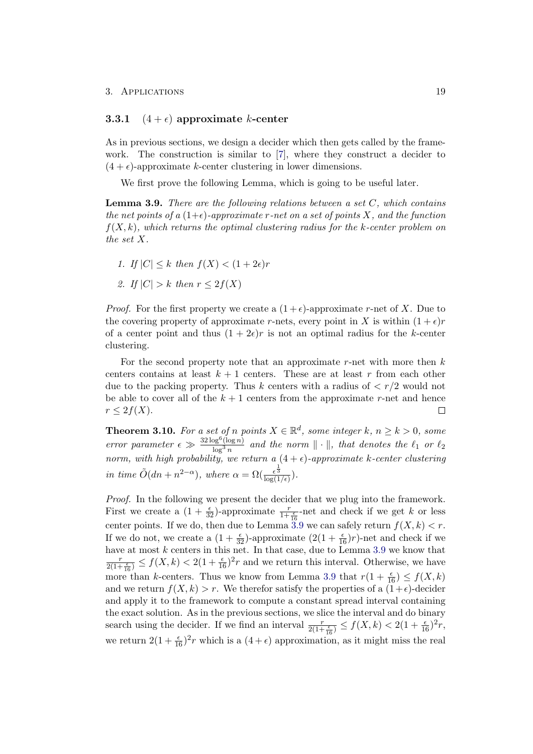#### <span id="page-22-0"></span>3.3.1  $(4 + \epsilon)$  approximate k-center

As in previous sections, we design a decider which then gets called by the framework. The construction is similar to [\[7\]](#page-27-7), where they construct a decider to  $(4 + \epsilon)$ -approximate k-center clustering in lower dimensions.

We first prove the following Lemma, which is going to be useful later.

<span id="page-22-1"></span>**Lemma 3.9.** There are the following relations between a set  $C$ , which contains the net points of a  $(1+\epsilon)$ -approximate r-net on a set of points X, and the function  $f(X, k)$ , which returns the optimal clustering radius for the k-center problem on the set X.

- 1. If  $|C| \leq k$  then  $f(X) \leq (1+2\epsilon)r$
- 2. If  $|C| > k$  then  $r \leq 2f(X)$

*Proof.* For the first property we create a  $(1+\epsilon)$ -approximate r-net of X. Due to the covering property of approximate r-nets, every point in X is within  $(1 + \epsilon)r$ of a center point and thus  $(1 + 2\epsilon)r$  is not an optimal radius for the k-center clustering.

For the second property note that an approximate r-net with more then  $k$ centers contains at least  $k+1$  centers. These are at least r from each other due to the packing property. Thus k centers with a radius of  $\langle r/2 \rangle$  would not be able to cover all of the  $k + 1$  centers from the approximate r-net and hence  $r \leq 2f(X).$  $\Box$ 

**Theorem 3.10.** For a set of n points  $X \in \mathbb{R}^d$ , some integer k,  $n \ge k > 0$ , some error parameter  $\epsilon \gg \frac{32 \log^6 (\log n)}{\log^3 n}$  $\frac{\log^2(\log n)}{\log^3 n}$  and the norm  $\|\cdot\|$ , that denotes the  $\ell_1$  or  $\ell_2$ norm, with high probability, we return a  $(4 + \epsilon)$ -approximate k-center clustering in time  $\tilde{O}(dn + n^{2-\alpha})$ , where  $\alpha = \Omega(\frac{\epsilon^{\frac{1}{3}}}{\log(1/\epsilon)})$ .

Proof. In the following we present the decider that we plug into the framework. First we create a  $(1+\frac{\epsilon}{32})$ -approximate  $\frac{r}{1+\frac{\epsilon}{16}}$ -net and check if we get k or less center points. If we do, then due to Lemma [3.9](#page-22-1) we can safely return  $f(X, k) < r$ . If we do not, we create a  $(1+\frac{\epsilon}{32})$ -approximate  $(2(1+\frac{\epsilon}{16})r)$ -net and check if we have at most  $k$  centers in this net. In that case, due to Lemma [3.9](#page-22-1) we know that  $\frac{r}{2(1+\frac{\epsilon}{16})} \le f(X,k) < 2(1+\frac{\epsilon}{16})^2r$  and we return this interval. Otherwise, we have more than k-centers. Thus we know from Lemma [3.9](#page-22-1) that  $r(1 + \frac{\epsilon}{16}) \le f(X, k)$ and we return  $f(X, k) > r$ . We therefor satisfy the properties of a  $(1+\epsilon)$ -decider and apply it to the framework to compute a constant spread interval containing the exact solution. As in the previous sections, we slice the interval and do binary search using the decider. If we find an interval  $\frac{r}{2(1+\frac{\epsilon}{16})} \leq f(X,k) < 2(1+\frac{\epsilon}{16})^2 r$ , we return  $2(1 + \frac{\epsilon}{16})^2 r$  which is a  $(4 + \epsilon)$  approximation, as it might miss the real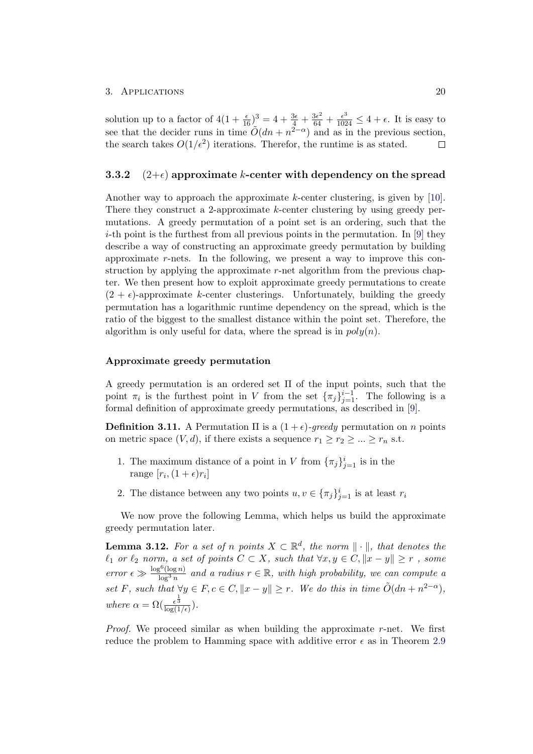solution up to a factor of  $4(1+\frac{\epsilon}{16})^3 = 4+\frac{3\epsilon}{4}+\frac{3\epsilon^2}{64}+\frac{\epsilon^3}{1024} \le 4+\epsilon$ . It is easy to see that the decider runs in time  $\tilde{O}(dn + n^{2-\alpha})$  and as in the previous section, the search takes  $O(1/\epsilon^2)$  iterations. Therefor, the runtime is as stated.  $\Box$ 

### <span id="page-23-0"></span>3.3.2  $(2+\epsilon)$  approximate k-center with dependency on the spread

Another way to approach the approximate k-center clustering, is given by [\[10\]](#page-27-10). There they construct a 2-approximate k-center clustering by using greedy permutations. A greedy permutation of a point set is an ordering, such that the *i*-th point is the furthest from all previous points in the permutation. In [\[9\]](#page-27-9) they describe a way of constructing an approximate greedy permutation by building approximate r-nets. In the following, we present a way to improve this construction by applying the approximate  $r$ -net algorithm from the previous chapter. We then present how to exploit approximate greedy permutations to create  $(2 + \epsilon)$ -approximate k-center clusterings. Unfortunately, building the greedy permutation has a logarithmic runtime dependency on the spread, which is the ratio of the biggest to the smallest distance within the point set. Therefore, the algorithm is only useful for data, where the spread is in  $poly(n)$ .

#### Approximate greedy permutation

A greedy permutation is an ordered set Π of the input points, such that the point  $\pi_i$  is the furthest point in V from the set  ${\lbrace \pi_j \rbrace}_{j=1}^{i-1}$ . The following is a formal definition of approximate greedy permutations, as described in [\[9\]](#page-27-9).

**Definition 3.11.** A Permutation  $\Pi$  is a  $(1+\epsilon)$ -greedy permutation on n points on metric space  $(V, d)$ , if there exists a sequence  $r_1 \ge r_2 \ge ... \ge r_n$  s.t.

- 1. The maximum distance of a point in V from  $\{\pi_j\}_{j=1}^i$  is in the range  $[r_i, (1+\epsilon)r_i]$
- 2. The distance between any two points  $u, v \in {\{\pi_j\}}_{j=1}^i$  is at least  $r_i$

We now prove the following Lemma, which helps us build the approximate greedy permutation later.

<span id="page-23-1"></span>**Lemma 3.12.** For a set of n points  $X \subset \mathbb{R}^d$ , the norm  $\|\cdot\|$ , that denotes the  $\ell_1$  or  $\ell_2$  norm, a set of points  $C \subset X$ , such that  $\forall x, y \in C, ||x - y|| \geq r$ , some error  $\epsilon \gg \frac{\log^6(\log n)}{\log^3 n}$  $\frac{\log^{6}(\log n)}{\log^{3}n}$  and a radius  $r \in \mathbb{R}$ , with high probability, we can compute a set F, such that  $\forall y \in F, c \in C, ||x - y|| \geq r$ . We do this in time  $\tilde{O}(dn + n^{2-\alpha})$ , where  $\alpha = \Omega(\frac{\epsilon^{\frac{1}{3}}}{\log(1/\epsilon)})$ .

*Proof.* We proceed similar as when building the approximate r-net. We first reduce the problem to Hamming space with additive error  $\epsilon$  as in Theorem [2.9](#page-13-0)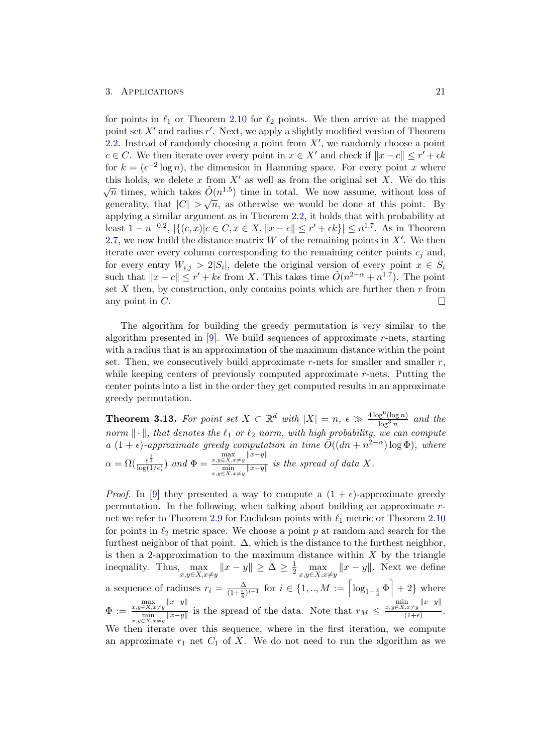#### 3. APPLICATIONS 21

for points in  $\ell_1$  or Theorem [2.10](#page-15-1) for  $\ell_2$  points. We then arrive at the mapped point set  $X'$  and radius  $r'$ . Next, we apply a slightly modified version of Theorem [2.2.](#page-8-1) Instead of randomly choosing a point from  $X'$ , we randomly choose a point  $c \in C$ . We then iterate over every point in  $x \in X'$  and check if  $||x - c|| \leq r' + \epsilon k$ for  $k = (\epsilon^{-2} \log n)$ , the dimension in Hamming space. For every point x where this holds, we delete x from  $X'$  as well as from the original set X. We do this  $\sqrt{n}$  times, which takes  $\tilde{O}(n^{1.5})$  time in total. We now assume, without loss of  $\sqrt{n}$  times, which takes  $O(n)$  fille in total. We now assume, without loss of generality, that  $|C| > \sqrt{n}$ , as otherwise we would be done at this point. By applying a similar argument as in Theorem [2.2,](#page-8-1) it holds that with probability at least  $1 - n^{-0.2}$ ,  $|\{(c, x) | c \in C, x \in X, ||x - c|| \leq r' + \epsilon k\}| \leq n^{1.7}$ . As in Theorem [2.7,](#page-11-1) we now build the distance matrix  $W$  of the remaining points in  $X'$ . We then iterate over every column corresponding to the remaining center points  $c_i$  and, for every entry  $W_{i,j} > 2|S_i|$ , delete the original version of every point  $x \in S_i$ such that  $||x - c|| \leq r' + k\epsilon$  from X. This takes time  $\tilde{O}(n^{2-\alpha} + n^{1.7})$ . The point set  $X$  then, by construction, only contains points which are further then  $r$  from any point in C.  $\Box$ 

The algorithm for building the greedy permutation is very similar to the algorithm presented in  $[9]$ . We build sequences of approximate r-nets, starting with a radius that is an approximation of the maximum distance within the point set. Then, we consecutively build approximate  $r$ -nets for smaller and smaller  $r$ , while keeping centers of previously computed approximate r-nets. Putting the center points into a list in the order they get computed results in an approximate greedy permutation.

**Theorem 3.13.** For point set  $X \subset \mathbb{R}^d$  with  $|X| = n$ ,  $\epsilon \gg \frac{4 \log^6 (\log n)}{\log^3 n}$  $\frac{\log^3(n)}{\log^3 n}$  and the norm  $\|\cdot\|$ , that denotes the  $\ell_1$  or  $\ell_2$  norm, with high probability, we can compute a  $(1+\epsilon)$ -approximate greedy computation in time  $\tilde{O}((dn + n^{2-\alpha}) \log \Phi)$ , where  $\alpha = \Omega(\frac{\epsilon^{\frac{1}{3}}}{\log(1/\epsilon)})$  and  $\Phi =$  $\max_{x,y\in X, x\neq y} ||x-y||$  $\frac{x,y\in X,x\neq y}{\min_{x,y\in X,x\neq y}||x-y||}$  is the spread of data X.

*Proof.* In [\[9\]](#page-27-9) they presented a way to compute a  $(1 + \epsilon)$ -approximate greedy permutation. In the following, when talking about building an approximate r-net we refer to Theorem [2.9](#page-13-0) for Euclidean points with  $\ell_1$  metric or Theorem [2.10](#page-15-1) for points in  $\ell_2$  metric space. We choose a point p at random and search for the furthest neighbor of that point.  $\Delta$ , which is the distance to the furthest neighbor, is then a 2-approximation to the maximum distance within  $X$  by the triangle inequality. Thus,  $\max_{x,y\in X, x\neq y} ||x-y|| \geq \Delta \geq \frac{1}{2} \max_{x,y\in X, x\neq y} ||x-y||$ . Next we define a sequence of radiuses  $r_i = \frac{\Delta}{(1+\frac{\epsilon}{4})^{i-1}}$  for  $i \in \{1,..,M := \left\lceil \log_{1+\frac{\epsilon}{4}} \Phi \right\rceil + 2\}$  where  $\Phi :=$  $\max_{x,y\in X, x\neq y} ||x-y||$  $\frac{x,y \in X, x \neq y}{\min}$  is the spread of the data. Note that  $r_M \leq$  $\min_{x,y\in X, x\neq y} ||x-y||$  $\frac{f(x+y)}{(1+\epsilon)}$ . We then iterate over this sequence, where in the first iteration, we compute an approximate  $r_1$  net  $C_1$  of X. We do not need to run the algorithm as we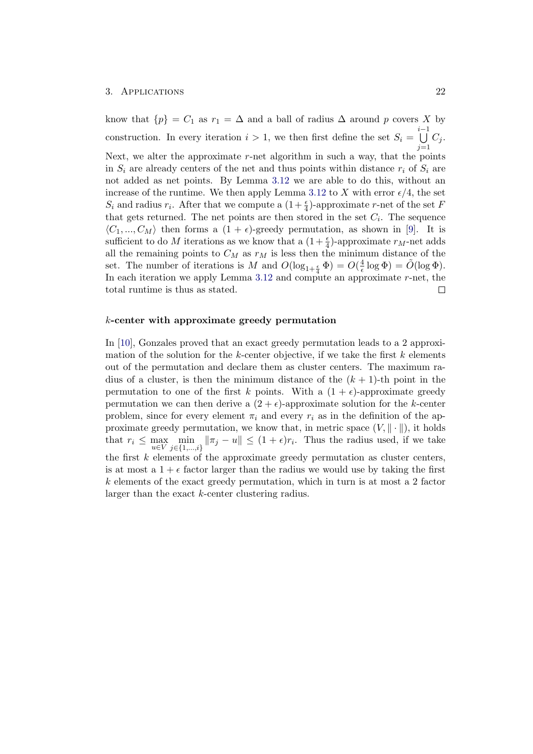know that  $\{p\} = C_1$  as  $r_1 = \Delta$  and a ball of radius  $\Delta$  around p covers X by  $\bigcup^{i-1}$ construction. In every iteration  $i > 1$ , we then first define the set  $S_i =$  $C_j$ .  $j=1$ Next, we alter the approximate  $r$ -net algorithm in such a way, that the points in  $S_i$  are already centers of the net and thus points within distance  $r_i$  of  $S_i$  are not added as net points. By Lemma [3.12](#page-23-1) we are able to do this, without an increase of the runtime. We then apply Lemma [3.12](#page-23-1) to X with error  $\epsilon/4$ , the set  $S_i$  and radius  $r_i$ . After that we compute a  $(1+\frac{\epsilon}{4})$ -approximate r-net of the set F that gets returned. The net points are then stored in the set  $C_i$ . The sequence  $\langle C_1, ..., C_M \rangle$  then forms a  $(1 + \epsilon)$ -greedy permutation, as shown in [\[9\]](#page-27-9). It is sufficient to do M iterations as we know that a  $(1 + \frac{\epsilon}{4})$ -approximate  $r_M$ -net adds all the remaining points to  $C_M$  as  $r_M$  is less then the minimum distance of the  $\frac{4}{\epsilon} \log \Phi$ ) =  $\tilde{O}(\log \Phi)$ . set. The number of iterations is M and  $O(\log_{1+\frac{\epsilon}{4}} \Phi) = O(\frac{4}{\epsilon})$ In each iteration we apply Lemma [3.12](#page-23-1) and compute an approximate r-net, the total runtime is thus as stated.  $\Box$ 

#### k-center with approximate greedy permutation

In [\[10\]](#page-27-10), Gonzales proved that an exact greedy permutation leads to a 2 approximation of the solution for the k-center objective, if we take the first  $k$  elements out of the permutation and declare them as cluster centers. The maximum radius of a cluster, is then the minimum distance of the  $(k + 1)$ -th point in the permutation to one of the first k points. With a  $(1 + \epsilon)$ -approximate greedy permutation we can then derive a  $(2 + \epsilon)$ -approximate solution for the k-center problem, since for every element  $\pi_i$  and every  $r_i$  as in the definition of the approximate greedy permutation, we know that, in metric space  $(V, \|\cdot\|)$ , it holds that  $r_i \leq \max_{u \in V} \min_{j \in \{1, \ldots, i\}} ||\pi_j - u|| \leq (1 + \epsilon)r_i$ . Thus the radius used, if we take the first  $k$  elements of the approximate greedy permutation as cluster centers, is at most a  $1 + \epsilon$  factor larger than the radius we would use by taking the first  $k$  elements of the exact greedy permutation, which in turn is at most a 2 factor larger than the exact k-center clustering radius.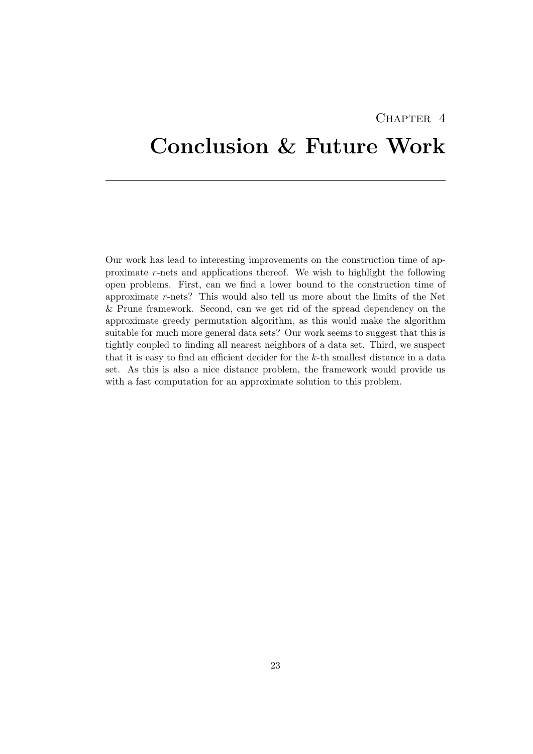## CHAPTER<sub>4</sub>

# <span id="page-26-0"></span>Conclusion & Future Work

Our work has lead to interesting improvements on the construction time of approximate r-nets and applications thereof. We wish to highlight the following open problems. First, can we find a lower bound to the construction time of approximate r-nets? This would also tell us more about the limits of the Net & Prune framework. Second, can we get rid of the spread dependency on the approximate greedy permutation algorithm, as this would make the algorithm suitable for much more general data sets? Our work seems to suggest that this is tightly coupled to finding all nearest neighbors of a data set. Third, we suspect that it is easy to find an efficient decider for the k-th smallest distance in a data set. As this is also a nice distance problem, the framework would provide us with a fast computation for an approximate solution to this problem.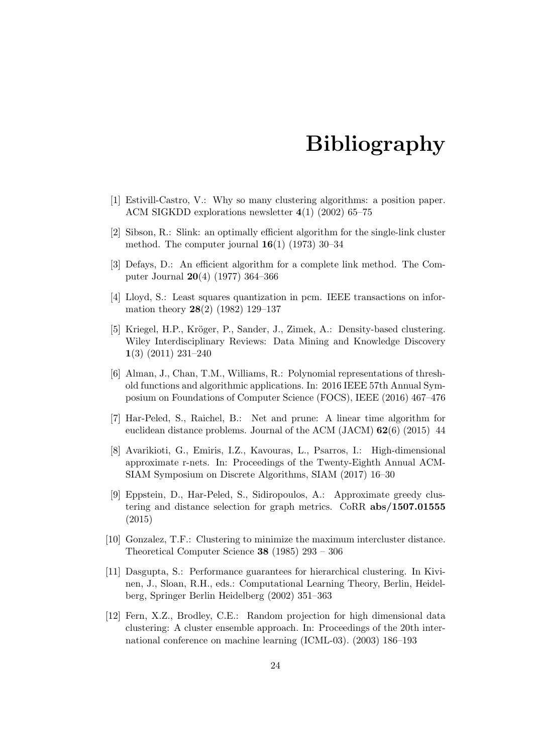# Bibliography

- <span id="page-27-1"></span><span id="page-27-0"></span>[1] Estivill-Castro, V.: Why so many clustering algorithms: a position paper. ACM SIGKDD explorations newsletter 4(1) (2002) 65–75
- <span id="page-27-2"></span>[2] Sibson, R.: Slink: an optimally efficient algorithm for the single-link cluster method. The computer journal  $16(1)$  (1973) 30-34
- <span id="page-27-3"></span>[3] Defays, D.: An efficient algorithm for a complete link method. The Computer Journal 20(4) (1977) 364–366
- <span id="page-27-4"></span>[4] Lloyd, S.: Least squares quantization in pcm. IEEE transactions on information theory 28(2) (1982) 129–137
- <span id="page-27-5"></span>[5] Kriegel, H.P., Kröger, P., Sander, J., Zimek, A.: Density-based clustering. Wiley Interdisciplinary Reviews: Data Mining and Knowledge Discovery 1(3) (2011) 231–240
- <span id="page-27-6"></span>[6] Alman, J., Chan, T.M., Williams, R.: Polynomial representations of threshold functions and algorithmic applications. In: 2016 IEEE 57th Annual Symposium on Foundations of Computer Science (FOCS), IEEE (2016) 467–476
- <span id="page-27-7"></span>[7] Har-Peled, S., Raichel, B.: Net and prune: A linear time algorithm for euclidean distance problems. Journal of the ACM (JACM) 62(6) (2015) 44
- <span id="page-27-8"></span>[8] Avarikioti, G., Emiris, I.Z., Kavouras, L., Psarros, I.: High-dimensional approximate r-nets. In: Proceedings of the Twenty-Eighth Annual ACM-SIAM Symposium on Discrete Algorithms, SIAM (2017) 16–30
- <span id="page-27-9"></span>[9] Eppstein, D., Har-Peled, S., Sidiropoulos, A.: Approximate greedy clustering and distance selection for graph metrics. CoRR abs/1507.01555 (2015)
- <span id="page-27-10"></span>[10] Gonzalez, T.F.: Clustering to minimize the maximum intercluster distance. Theoretical Computer Science 38 (1985) 293 – 306
- <span id="page-27-11"></span>[11] Dasgupta, S.: Performance guarantees for hierarchical clustering. In Kivinen, J., Sloan, R.H., eds.: Computational Learning Theory, Berlin, Heidelberg, Springer Berlin Heidelberg (2002) 351–363
- <span id="page-27-12"></span>[12] Fern, X.Z., Brodley, C.E.: Random projection for high dimensional data clustering: A cluster ensemble approach. In: Proceedings of the 20th international conference on machine learning (ICML-03). (2003) 186–193